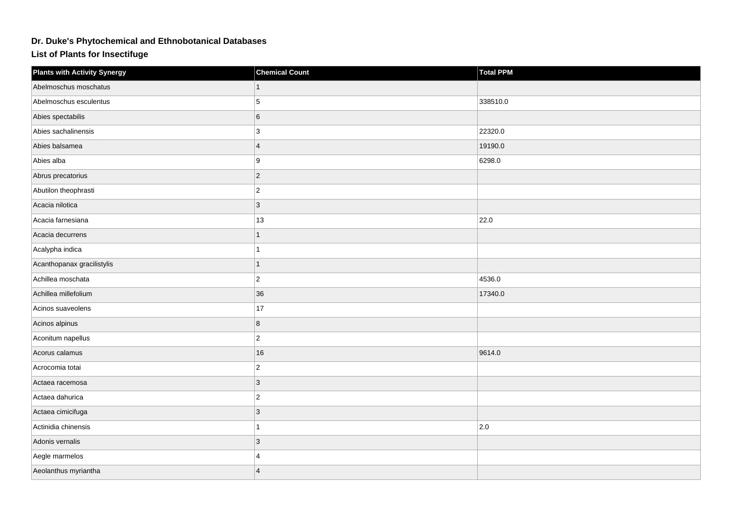## **Dr. Duke's Phytochemical and Ethnobotanical Databases**

**List of Plants for Insectifuge**

| <b>Plants with Activity Synergy</b> | <b>Chemical Count</b> | <b>Total PPM</b> |
|-------------------------------------|-----------------------|------------------|
| Abelmoschus moschatus               |                       |                  |
| Abelmoschus esculentus              | 5                     | 338510.0         |
| Abies spectabilis                   | 6                     |                  |
| Abies sachalinensis                 | 3                     | 22320.0          |
| Abies balsamea                      | $\overline{4}$        | 19190.0          |
| Abies alba                          | 9                     | 6298.0           |
| Abrus precatorius                   | $\overline{2}$        |                  |
| Abutilon theophrasti                | $\overline{c}$        |                  |
| Acacia nilotica                     | $\overline{3}$        |                  |
| Acacia farnesiana                   | 13                    | 22.0             |
| Acacia decurrens                    | 1                     |                  |
| Acalypha indica                     |                       |                  |
| Acanthopanax gracilistylis          |                       |                  |
| Achillea moschata                   | $\overline{2}$        | 4536.0           |
| Achillea millefolium                | 36                    | 17340.0          |
| Acinos suaveolens                   | 17                    |                  |
| Acinos alpinus                      | 8                     |                  |
| Aconitum napellus                   | $\overline{2}$        |                  |
| Acorus calamus                      | 16                    | 9614.0           |
| Acrocomia totai                     | $\overline{2}$        |                  |
| Actaea racemosa                     | 3                     |                  |
| Actaea dahurica                     | $\overline{2}$        |                  |
| Actaea cimicifuga                   | 3                     |                  |
| Actinidia chinensis                 |                       | 2.0              |
| Adonis vernalis                     | $\overline{3}$        |                  |
| Aegle marmelos                      | $\boldsymbol{\Delta}$ |                  |
| Aeolanthus myriantha                | $\boldsymbol{\Delta}$ |                  |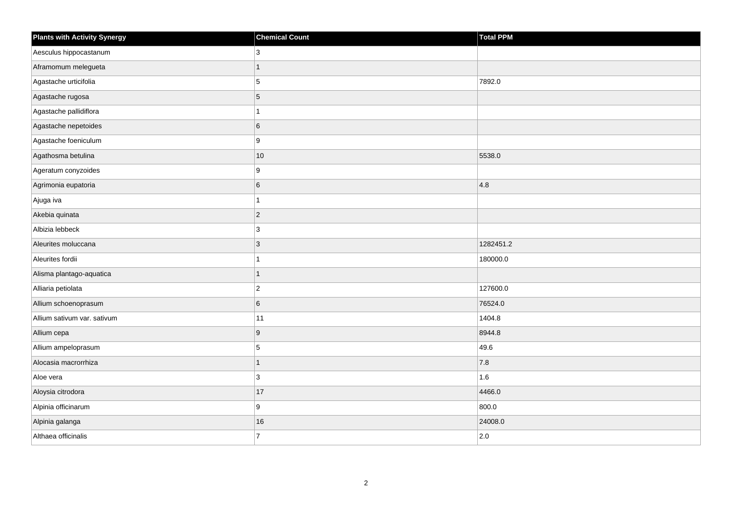| <b>Plants with Activity Synergy</b> | <b>Chemical Count</b> | Total PPM |
|-------------------------------------|-----------------------|-----------|
| Aesculus hippocastanum              | 3                     |           |
| Aframomum melegueta                 | 1                     |           |
| Agastache urticifolia               | 5                     | 7892.0    |
| Agastache rugosa                    | 5                     |           |
| Agastache pallidiflora              |                       |           |
| Agastache nepetoides                | 6                     |           |
| Agastache foeniculum                | 9                     |           |
| Agathosma betulina                  | 10                    | 5538.0    |
| Ageratum conyzoides                 | 9                     |           |
| Agrimonia eupatoria                 | 6                     | 4.8       |
| Ajuga iva                           |                       |           |
| Akebia quinata                      | $\overline{2}$        |           |
| Albizia lebbeck                     | 3                     |           |
| Aleurites moluccana                 | 3                     | 1282451.2 |
| Aleurites fordii                    |                       | 180000.0  |
| Alisma plantago-aquatica            | 1                     |           |
| Alliaria petiolata                  | $\overline{2}$        | 127600.0  |
| Allium schoenoprasum                | 6                     | 76524.0   |
| Allium sativum var. sativum         | 11                    | 1404.8    |
| Allium cepa                         | 9                     | 8944.8    |
| Allium ampeloprasum                 | 5                     | 49.6      |
| Alocasia macrorrhiza                | 1                     | 7.8       |
| Aloe vera                           | 3                     | 1.6       |
| Aloysia citrodora                   | 17                    | 4466.0    |
| Alpinia officinarum                 | 9                     | 800.0     |
| Alpinia galanga                     | 16                    | 24008.0   |
| Althaea officinalis                 | $\overline{7}$        | 2.0       |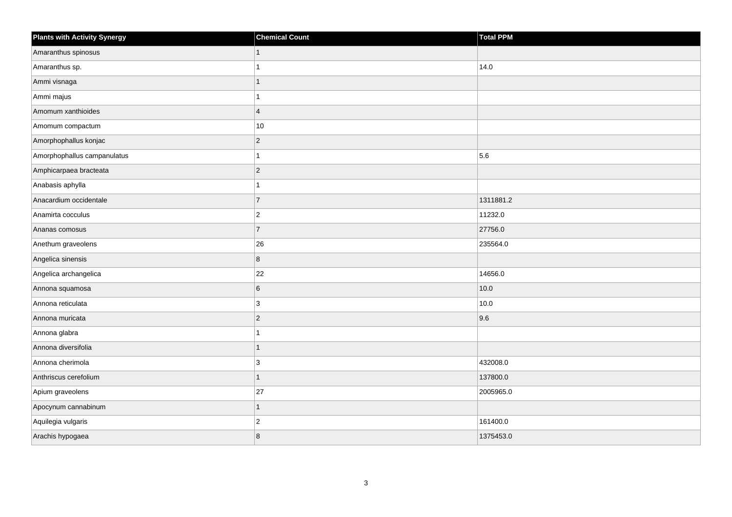| <b>Plants with Activity Synergy</b> | <b>Chemical Count</b> | Total PPM |
|-------------------------------------|-----------------------|-----------|
| Amaranthus spinosus                 | $\mathbf{1}$          |           |
| Amaranthus sp.                      | 1                     | 14.0      |
| Ammi visnaga                        | 1                     |           |
| Ammi majus                          | 1                     |           |
| Amomum xanthioides                  | $\overline{4}$        |           |
| Amomum compactum                    | $10\,$                |           |
| Amorphophallus konjac               | $ 2\rangle$           |           |
| Amorphophallus campanulatus         | 1                     | 5.6       |
| Amphicarpaea bracteata              | $\vert$ 2             |           |
| Anabasis aphylla                    | 1                     |           |
| Anacardium occidentale              | $\overline{7}$        | 1311881.2 |
| Anamirta cocculus                   | $ 2\rangle$           | 11232.0   |
| Ananas comosus                      | 7                     | 27756.0   |
| Anethum graveolens                  | 26                    | 235564.0  |
| Angelica sinensis                   | $\overline{8}$        |           |
| Angelica archangelica               | 22                    | 14656.0   |
| Annona squamosa                     | $\,6\,$               | 10.0      |
| Annona reticulata                   | 3                     | 10.0      |
| Annona muricata                     | $ 2\rangle$           | 9.6       |
| Annona glabra                       | 1                     |           |
| Annona diversifolia                 | $\mathbf{1}$          |           |
| Annona cherimola                    | 3                     | 432008.0  |
| Anthriscus cerefolium               | 1                     | 137800.0  |
| Apium graveolens                    | 27                    | 2005965.0 |
| Apocynum cannabinum                 | $\mathbf{1}$          |           |
| Aquilegia vulgaris                  | $ 2\rangle$           | 161400.0  |
| Arachis hypogaea                    | 8                     | 1375453.0 |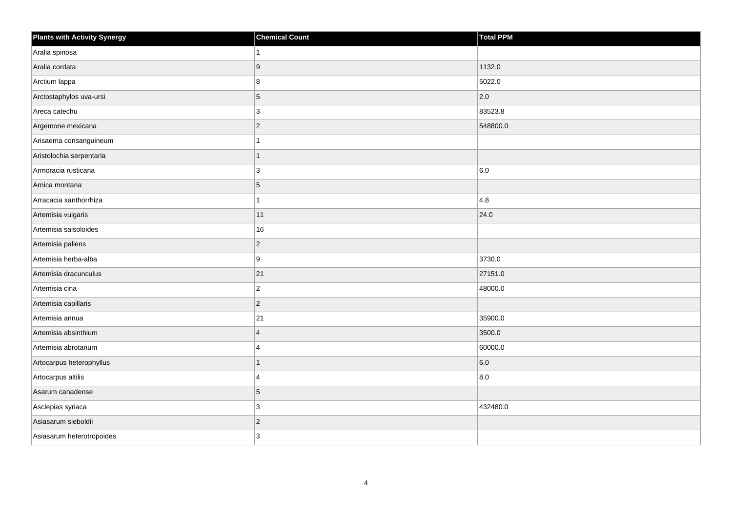| <b>Plants with Activity Synergy</b> | <b>Chemical Count</b> | Total PPM |
|-------------------------------------|-----------------------|-----------|
| Aralia spinosa                      | 1                     |           |
| Aralia cordata                      | 9                     | 1132.0    |
| Arctium lappa                       | 8                     | 5022.0    |
| Arctostaphylos uva-ursi             | $\overline{5}$        | 2.0       |
| Areca catechu                       | 3                     | 83523.8   |
| Argemone mexicana                   | $ 2\rangle$           | 548800.0  |
| Arisaema consanguineum              | 1                     |           |
| Aristolochia serpentaria            | 1                     |           |
| Armoracia rusticana                 | 3                     | 6.0       |
| Arnica montana                      | $\overline{5}$        |           |
| Arracacia xanthorrhiza              | 1                     | 4.8       |
| Artemisia vulgaris                  | 11                    | 24.0      |
| Artemisia salsoloides               | 16                    |           |
| Artemisia pallens                   | $\overline{2}$        |           |
| Artemisia herba-alba                | 9                     | 3730.0    |
| Artemisia dracunculus               | 21                    | 27151.0   |
| Artemisia cina                      | $ 2\rangle$           | 48000.0   |
| Artemisia capillaris                | $ 2\rangle$           |           |
| Artemisia annua                     | 21                    | 35900.0   |
| Artemisia absinthium                | $\overline{4}$        | 3500.0    |
| Artemisia abrotanum                 | 4                     | 60000.0   |
| Artocarpus heterophyllus            | 1                     | 6.0       |
| Artocarpus altilis                  | 4                     | 8.0       |
| Asarum canadense                    | 5                     |           |
| Asclepias syriaca                   | 3                     | 432480.0  |
| Asiasarum sieboldii                 | $\vert$ 2             |           |
| Asiasarum heterotropoides           | 3                     |           |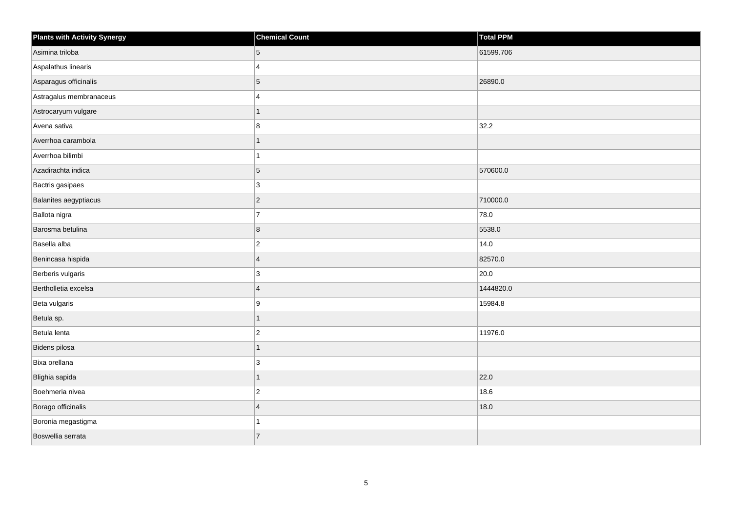| <b>Plants with Activity Synergy</b> | <b>Chemical Count</b> | Total PPM |
|-------------------------------------|-----------------------|-----------|
| Asimina triloba                     | 5                     | 61599.706 |
| Aspalathus linearis                 | $\boldsymbol{\Delta}$ |           |
| Asparagus officinalis               | 5                     | 26890.0   |
| Astragalus membranaceus             | 4                     |           |
| Astrocaryum vulgare                 |                       |           |
| Avena sativa                        | 8                     | 32.2      |
| Averrhoa carambola                  | 1                     |           |
| Averrhoa bilimbi                    |                       |           |
| Azadirachta indica                  | $\overline{5}$        | 570600.0  |
| Bactris gasipaes                    | 3                     |           |
| Balanites aegyptiacus               | $\overline{2}$        | 710000.0  |
| Ballota nigra                       | $\overline{7}$        | 78.0      |
| Barosma betulina                    | 8                     | 5538.0    |
| Basella alba                        | $\overline{c}$        | 14.0      |
| Benincasa hispida                   | $\overline{4}$        | 82570.0   |
| Berberis vulgaris                   | 3                     | 20.0      |
| Bertholletia excelsa                | $\overline{4}$        | 1444820.0 |
| Beta vulgaris                       | 9                     | 15984.8   |
| Betula sp.                          | $\overline{1}$        |           |
| Betula lenta                        | $\overline{2}$        | 11976.0   |
| Bidens pilosa                       | 1                     |           |
| Bixa orellana                       | 3                     |           |
| Blighia sapida                      | 1                     | 22.0      |
| Boehmeria nivea                     | $\overline{2}$        | 18.6      |
| Borago officinalis                  | $\overline{4}$        | 18.0      |
| Boronia megastigma                  |                       |           |
| Boswellia serrata                   | $\overline{7}$        |           |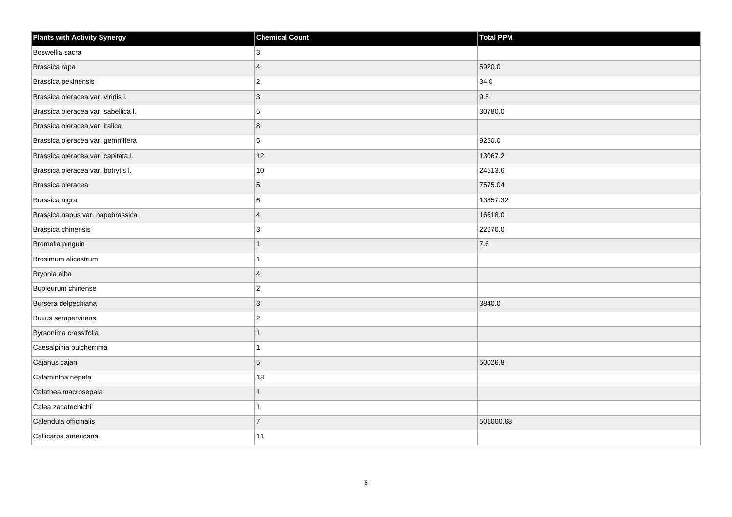| <b>Plants with Activity Synergy</b> | <b>Chemical Count</b> | <b>Total PPM</b> |
|-------------------------------------|-----------------------|------------------|
| Boswellia sacra                     | 3                     |                  |
| Brassica rapa                       | $\overline{A}$        | 5920.0           |
| Brassica pekinensis                 | $\overline{2}$        | 34.0             |
| Brassica oleracea var. viridis I.   | 3                     | 9.5              |
| Brassica oleracea var. sabellica I. | 5                     | 30780.0          |
| Brassica oleracea var. italica      | 8                     |                  |
| Brassica oleracea var. gemmifera    | 5                     | 9250.0           |
| Brassica oleracea var. capitata I.  | 12                    | 13067.2          |
| Brassica oleracea var. botrytis I.  | 10                    | 24513.6          |
| Brassica oleracea                   | 5                     | 7575.04          |
| Brassica nigra                      | 6                     | 13857.32         |
| Brassica napus var. napobrassica    | $\overline{4}$        | 16618.0          |
| Brassica chinensis                  | 3                     | 22670.0          |
| Bromelia pinguin                    | 1                     | 7.6              |
| Brosimum alicastrum                 |                       |                  |
| Bryonia alba                        | $\overline{4}$        |                  |
| Bupleurum chinense                  | $\mathbf{2}$          |                  |
| Bursera delpechiana                 | 3                     | 3840.0           |
| <b>Buxus sempervirens</b>           | $\overline{c}$        |                  |
| Byrsonima crassifolia               | 1                     |                  |
| Caesalpinia pulcherrima             | $\overline{ }$        |                  |
| Cajanus cajan                       | 5                     | 50026.8          |
| Calamintha nepeta                   | 18                    |                  |
| Calathea macrosepala                | 1                     |                  |
| Calea zacatechichi                  | $\overline{1}$        |                  |
| Calendula officinalis               | $\overline{7}$        | 501000.68        |
| Callicarpa americana                | 11                    |                  |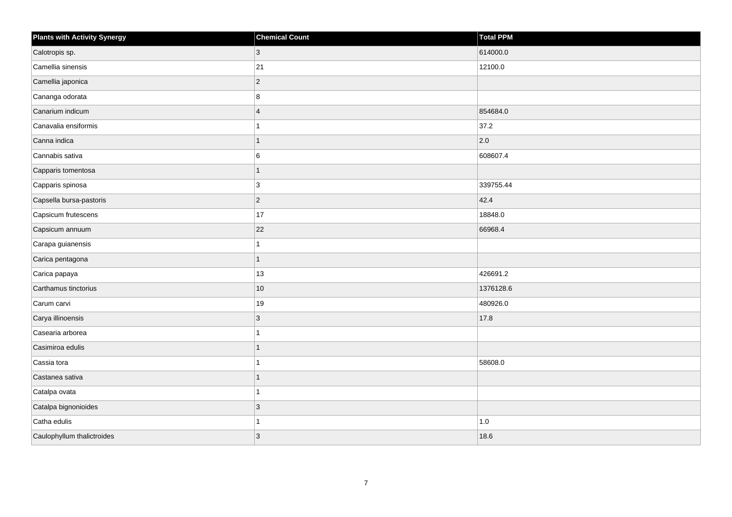| <b>Plants with Activity Synergy</b> | <b>Chemical Count</b> | Total PPM |
|-------------------------------------|-----------------------|-----------|
| Calotropis sp.                      | 3                     | 614000.0  |
| Camellia sinensis                   | 21                    | 12100.0   |
| Camellia japonica                   | $\overline{c}$        |           |
| Cananga odorata                     | 8                     |           |
| Canarium indicum                    | $\boldsymbol{\Delta}$ | 854684.0  |
| Canavalia ensiformis                |                       | 37.2      |
| Canna indica                        | 1                     | 2.0       |
| Cannabis sativa                     | 6                     | 608607.4  |
| Capparis tomentosa                  | 1                     |           |
| Capparis spinosa                    | 3                     | 339755.44 |
| Capsella bursa-pastoris             | $\overline{2}$        | 42.4      |
| Capsicum frutescens                 | $17$                  | 18848.0   |
| Capsicum annuum                     | 22                    | 66968.4   |
| Carapa guianensis                   |                       |           |
| Carica pentagona                    | 1                     |           |
| Carica papaya                       | 13                    | 426691.2  |
| Carthamus tinctorius                | $10$                  | 1376128.6 |
| Carum carvi                         | $19$                  | 480926.0  |
| Carya illinoensis                   | 3                     | 17.8      |
| Casearia arborea                    |                       |           |
| Casimiroa edulis                    |                       |           |
| Cassia tora                         |                       | 58608.0   |
| Castanea sativa                     |                       |           |
| Catalpa ovata                       |                       |           |
| Catalpa bignonioides                | 3                     |           |
| Catha edulis                        |                       | 1.0       |
| Caulophyllum thalictroides          | 3                     | 18.6      |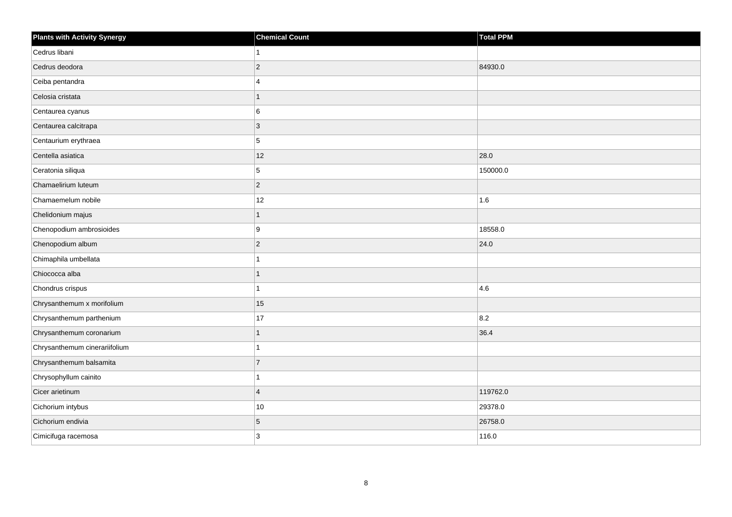| <b>Plants with Activity Synergy</b> | <b>Chemical Count</b> | <b>Total PPM</b> |
|-------------------------------------|-----------------------|------------------|
| Cedrus libani                       |                       |                  |
| Cedrus deodora                      | $\overline{2}$        | 84930.0          |
| Ceiba pentandra                     | $\boldsymbol{\Delta}$ |                  |
| Celosia cristata                    | 1                     |                  |
| Centaurea cyanus                    | 6                     |                  |
| Centaurea calcitrapa                | 3                     |                  |
| Centaurium erythraea                | 5                     |                  |
| Centella asiatica                   | 12                    | 28.0             |
| Ceratonia siliqua                   | 5                     | 150000.0         |
| Chamaelirium luteum                 | $\overline{2}$        |                  |
| Chamaemelum nobile                  | 12                    | 1.6              |
| Chelidonium majus                   | 1                     |                  |
| Chenopodium ambrosioides            | 9                     | 18558.0          |
| Chenopodium album                   | $\overline{2}$        | 24.0             |
| Chimaphila umbellata                |                       |                  |
| Chiococca alba                      | 1                     |                  |
| Chondrus crispus                    |                       | 4.6              |
| Chrysanthemum x morifolium          | 15                    |                  |
| Chrysanthemum parthenium            | 17                    | 8.2              |
| Chrysanthemum coronarium            |                       | 36.4             |
| Chrysanthemum cinerariifolium       |                       |                  |
| Chrysanthemum balsamita             | $\overline{7}$        |                  |
| Chrysophyllum cainito               |                       |                  |
| Cicer arietinum                     | $\overline{4}$        | 119762.0         |
| Cichorium intybus                   | 10                    | 29378.0          |
| Cichorium endivia                   | 5                     | 26758.0          |
| Cimicifuga racemosa                 | 3                     | 116.0            |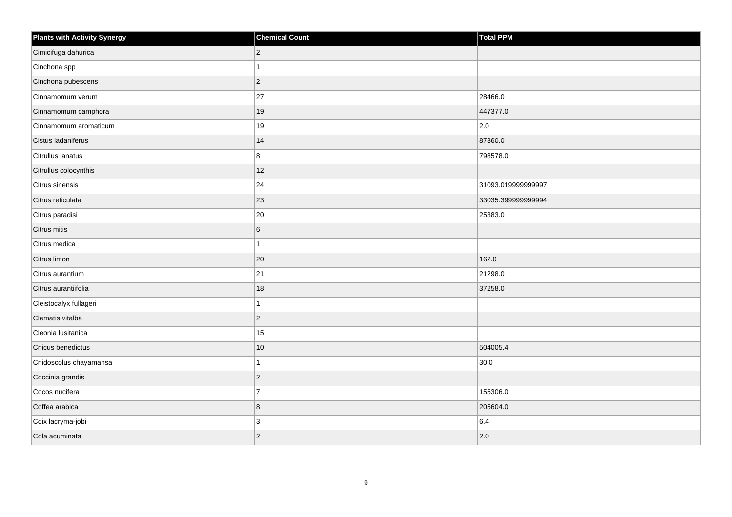| <b>Plants with Activity Synergy</b> | <b>Chemical Count</b> | <b>Total PPM</b>   |
|-------------------------------------|-----------------------|--------------------|
| Cimicifuga dahurica                 | $\mathbf 2$           |                    |
| Cinchona spp                        | $\overline{1}$        |                    |
| Cinchona pubescens                  | $\vert$ 2             |                    |
| Cinnamomum verum                    | 27                    | 28466.0            |
| Cinnamomum camphora                 | 19                    | 447377.0           |
| Cinnamomum aromaticum               | 19                    | $ 2.0\rangle$      |
| Cistus ladaniferus                  | 14                    | 87360.0            |
| Citrullus lanatus                   | 8                     | 798578.0           |
| Citrullus colocynthis               | 12                    |                    |
| Citrus sinensis                     | 24                    | 31093.019999999997 |
| Citrus reticulata                   | 23                    | 33035.399999999994 |
| Citrus paradisi                     | 20                    | 25383.0            |
| Citrus mitis                        | $\,6$                 |                    |
| Citrus medica                       | $\mathbf{1}$          |                    |
| Citrus limon                        | 20                    | 162.0              |
| Citrus aurantium                    | 21                    | 21298.0            |
| Citrus aurantiifolia                | 18                    | 37258.0            |
| Cleistocalyx fullageri              | $\mathbf{1}$          |                    |
| Clematis vitalba                    | $\mathbf 2$           |                    |
| Cleonia lusitanica                  | 15                    |                    |
| Cnicus benedictus                   | 10                    | 504005.4           |
| Cnidoscolus chayamansa              | $\mathbf{1}$          | 30.0               |
| Coccinia grandis                    | $\mathbf 2$           |                    |
| Cocos nucifera                      | $\overline{7}$        | 155306.0           |
| Coffea arabica                      | $\bf 8$               | 205604.0           |
| Coix lacryma-jobi                   | 3                     | 6.4                |
| Cola acuminata                      | $\vert$ 2             | 2.0                |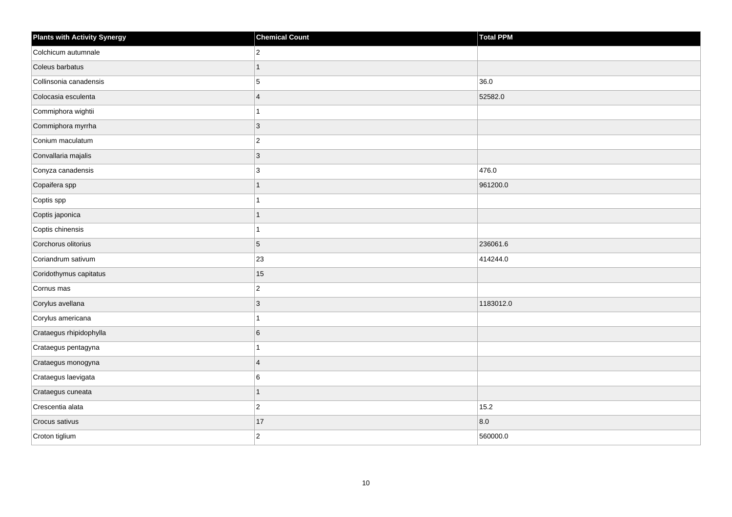| <b>Plants with Activity Synergy</b> | <b>Chemical Count</b>   | Total PPM |
|-------------------------------------|-------------------------|-----------|
| Colchicum autumnale                 | $\overline{2}$          |           |
| Coleus barbatus                     | 1                       |           |
| Collinsonia canadensis              | 5                       | 36.0      |
| Colocasia esculenta                 | $\overline{\mathbf{A}}$ | 52582.0   |
| Commiphora wightii                  |                         |           |
| Commiphora myrrha                   | 3                       |           |
| Conium maculatum                    | $\overline{c}$          |           |
| Convallaria majalis                 | 3                       |           |
| Conyza canadensis                   | 3                       | 476.0     |
| Copaifera spp                       | 1                       | 961200.0  |
| Coptis spp                          |                         |           |
| Coptis japonica                     |                         |           |
| Coptis chinensis                    |                         |           |
| Corchorus olitorius                 | 5                       | 236061.6  |
| Coriandrum sativum                  | 23                      | 414244.0  |
| Coridothymus capitatus              | 15                      |           |
| Cornus mas                          | $\overline{c}$          |           |
| Corylus avellana                    | 3                       | 1183012.0 |
| Corylus americana                   | 1                       |           |
| Crataegus rhipidophylla             | 6                       |           |
| Crataegus pentagyna                 |                         |           |
| Crataegus monogyna                  | $\overline{4}$          |           |
| Crataegus laevigata                 | 6                       |           |
| Crataegus cuneata                   | 1                       |           |
| Crescentia alata                    | $\overline{2}$          | 15.2      |
| Crocus sativus                      | 17                      | 8.0       |
| Croton tiglium                      | $\overline{2}$          | 560000.0  |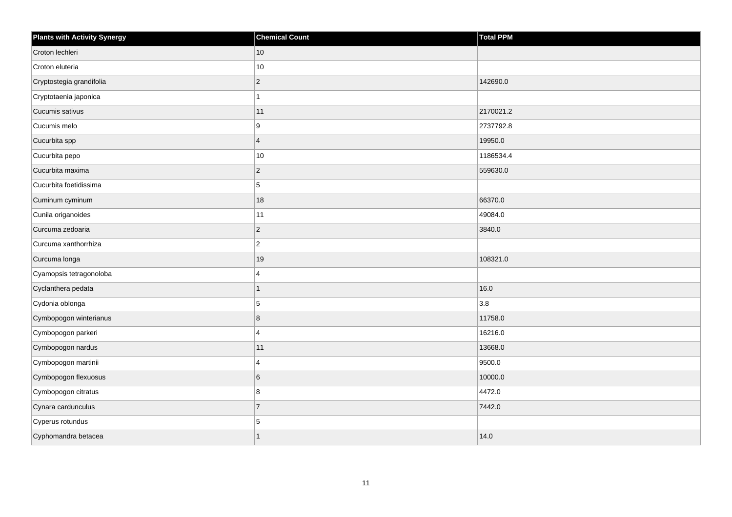| <b>Plants with Activity Synergy</b> | <b>Chemical Count</b> | <b>Total PPM</b> |
|-------------------------------------|-----------------------|------------------|
| Croton lechleri                     | $ 10\rangle$          |                  |
| Croton eluteria                     | 10                    |                  |
| Cryptostegia grandifolia            | $\mathbf 2$           | 142690.0         |
| Cryptotaenia japonica               | $\mathbf{1}$          |                  |
| Cucumis sativus                     | 11                    | 2170021.2        |
| Cucumis melo                        | 9                     | 2737792.8        |
| Cucurbita spp                       | $\overline{4}$        | 19950.0          |
| Cucurbita pepo                      | 10                    | 1186534.4        |
| Cucurbita maxima                    | $\vert$ 2             | 559630.0         |
| Cucurbita foetidissima              | 5                     |                  |
| Cuminum cyminum                     | 18                    | 66370.0          |
| Cunila origanoides                  | 11                    | 49084.0          |
| Curcuma zedoaria                    | $\vert$ <sub>2</sub>  | 3840.0           |
| Curcuma xanthorrhiza                | $\mathbf 2$           |                  |
| Curcuma longa                       | 19                    | 108321.0         |
| Cyamopsis tetragonoloba             | $\overline{4}$        |                  |
| Cyclanthera pedata                  | $\mathbf{1}$          | 16.0             |
| Cydonia oblonga                     | 5                     | 3.8              |
| Cymbopogon winterianus              | $\bf 8$               | 11758.0          |
| Cymbopogon parkeri                  | 4                     | 16216.0          |
| Cymbopogon nardus                   | 11                    | 13668.0          |
| Cymbopogon martinii                 | $\overline{4}$        | 9500.0           |
| Cymbopogon flexuosus                | $\,6$                 | 10000.0          |
| Cymbopogon citratus                 | 8                     | 4472.0           |
| Cynara cardunculus                  | $\overline{7}$        | 7442.0           |
| Cyperus rotundus                    | 5                     |                  |
| Cyphomandra betacea                 | $\overline{1}$        | 14.0             |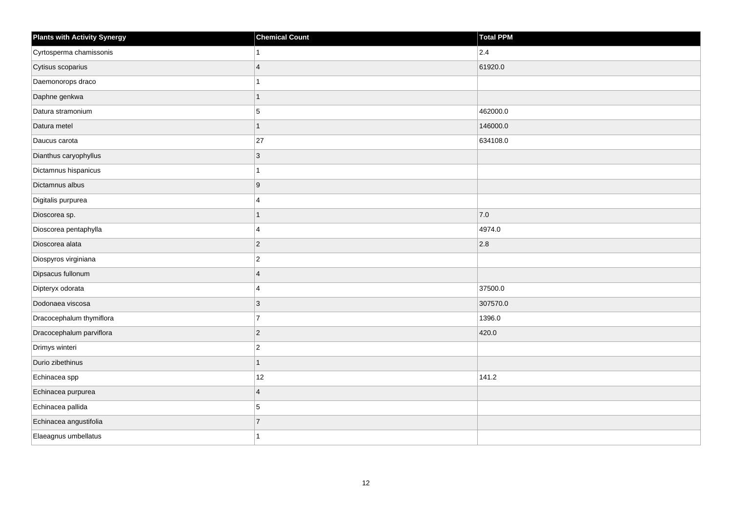| <b>Plants with Activity Synergy</b> | <b>Chemical Count</b>   | Total PPM     |
|-------------------------------------|-------------------------|---------------|
| Cyrtosperma chamissonis             |                         | $ 2.4\rangle$ |
| Cytisus scoparius                   | $\overline{4}$          | 61920.0       |
| Daemonorops draco                   |                         |               |
| Daphne genkwa                       | 1                       |               |
| Datura stramonium                   | 5                       | 462000.0      |
| Datura metel                        | 1                       | 146000.0      |
| Daucus carota                       | 27                      | 634108.0      |
| Dianthus caryophyllus               | 3                       |               |
| Dictamnus hispanicus                |                         |               |
| Dictamnus albus                     | 9                       |               |
| Digitalis purpurea                  | $\overline{\mathbf{A}}$ |               |
| Dioscorea sp.                       |                         | 7.0           |
| Dioscorea pentaphylla               | 4                       | 4974.0        |
| Dioscorea alata                     | $\overline{c}$          | 2.8           |
| Diospyros virginiana                | $\overline{a}$          |               |
| Dipsacus fullonum                   | $\overline{4}$          |               |
| Dipteryx odorata                    | 4                       | 37500.0       |
| Dodonaea viscosa                    | $\overline{3}$          | 307570.0      |
| Dracocephalum thymiflora            | $\overline{7}$          | 1396.0        |
| Dracocephalum parviflora            | $\overline{2}$          | 420.0         |
| Drimys winteri                      | $\overline{2}$          |               |
| Durio zibethinus                    | 1                       |               |
| Echinacea spp                       | 12                      | 141.2         |
| Echinacea purpurea                  | $\overline{4}$          |               |
| Echinacea pallida                   | 5                       |               |
| Echinacea angustifolia              | $\overline{7}$          |               |
| Elaeagnus umbellatus                |                         |               |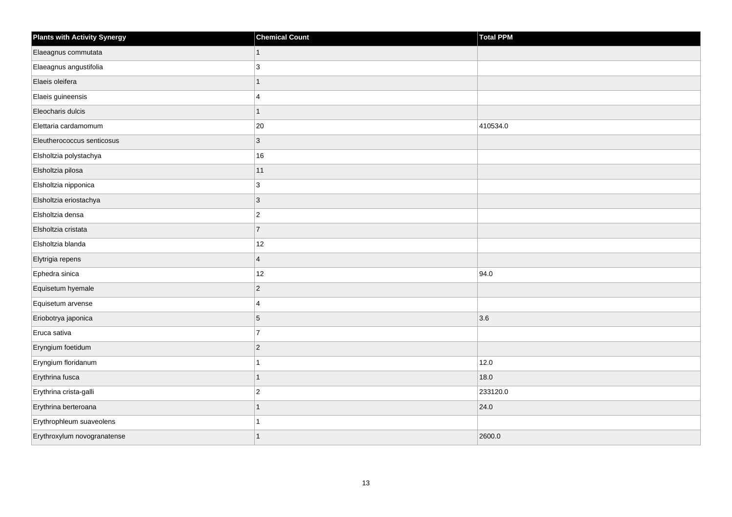| <b>Plants with Activity Synergy</b> | <b>Chemical Count</b> | <b>Total PPM</b> |
|-------------------------------------|-----------------------|------------------|
| Elaeagnus commutata                 | 1                     |                  |
| Elaeagnus angustifolia              | 3                     |                  |
| Elaeis oleifera                     | 1                     |                  |
| Elaeis guineensis                   | 4                     |                  |
| Eleocharis dulcis                   |                       |                  |
| Elettaria cardamomum                | 20                    | 410534.0         |
| Eleutherococcus senticosus          | 3                     |                  |
| Elsholtzia polystachya              | 16                    |                  |
| Elsholtzia pilosa                   | 11                    |                  |
| Elsholtzia nipponica                | 3                     |                  |
| Elsholtzia eriostachya              | 3                     |                  |
| Elsholtzia densa                    | $\overline{c}$        |                  |
| Elsholtzia cristata                 | $\overline{7}$        |                  |
| Elsholtzia blanda                   | 12                    |                  |
| Elytrigia repens                    | $\overline{4}$        |                  |
| Ephedra sinica                      | 12                    | 94.0             |
| Equisetum hyemale                   | $\overline{c}$        |                  |
| Equisetum arvense                   | 4                     |                  |
| Eriobotrya japonica                 | 5                     | 3.6              |
| Eruca sativa                        | $\overline{7}$        |                  |
| Eryngium foetidum                   | $\overline{c}$        |                  |
| Eryngium floridanum                 |                       | 12.0             |
| Erythrina fusca                     |                       | 18.0             |
| Erythrina crista-galli              | $\overline{c}$        | 233120.0         |
| Erythrina berteroana                | 1                     | 24.0             |
| Erythrophleum suaveolens            |                       |                  |
| Erythroxylum novogranatense         | 1                     | 2600.0           |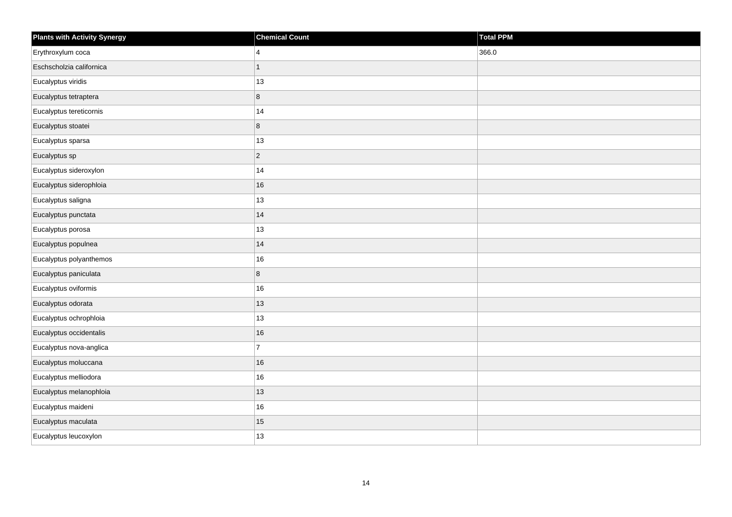| Plants with Activity Synergy | <b>Chemical Count</b> | Total PPM |
|------------------------------|-----------------------|-----------|
| Erythroxylum coca            | 4                     | 366.0     |
| Eschscholzia californica     | 1                     |           |
| Eucalyptus viridis           | $13$                  |           |
| Eucalyptus tetraptera        | 8                     |           |
| Eucalyptus tereticornis      | 14                    |           |
| Eucalyptus stoatei           | 8                     |           |
| Eucalyptus sparsa            | 13                    |           |
| Eucalyptus sp                | $\overline{2}$        |           |
| Eucalyptus sideroxylon       | 14                    |           |
| Eucalyptus siderophloia      | 16                    |           |
| Eucalyptus saligna           | 13                    |           |
| Eucalyptus punctata          | 14                    |           |
| Eucalyptus porosa            | 13                    |           |
| Eucalyptus populnea          | 14                    |           |
| Eucalyptus polyanthemos      | 16                    |           |
| Eucalyptus paniculata        | 8                     |           |
| Eucalyptus oviformis         | $16\,$                |           |
| Eucalyptus odorata           | 13                    |           |
| Eucalyptus ochrophloia       | 13                    |           |
| Eucalyptus occidentalis      | 16                    |           |
| Eucalyptus nova-anglica      | $\overline{7}$        |           |
| Eucalyptus moluccana         | 16                    |           |
| Eucalyptus melliodora        | $16\,$                |           |
| Eucalyptus melanophloia      | 13                    |           |
| Eucalyptus maideni           | 16                    |           |
| Eucalyptus maculata          | 15                    |           |
| Eucalyptus leucoxylon        | 13                    |           |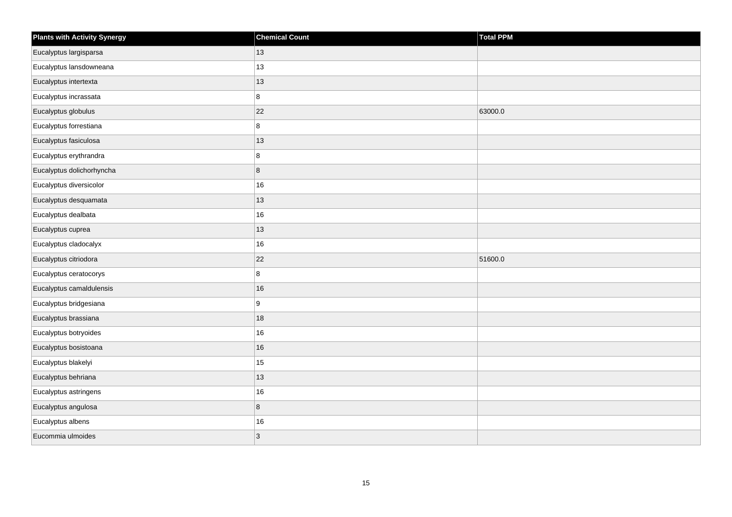| <b>Plants with Activity Synergy</b> | <b>Chemical Count</b> | Total PPM |
|-------------------------------------|-----------------------|-----------|
| Eucalyptus largisparsa              | 13                    |           |
| Eucalyptus lansdowneana             | 13                    |           |
| Eucalyptus intertexta               | 13                    |           |
| Eucalyptus incrassata               | 8                     |           |
| Eucalyptus globulus                 | 22                    | 63000.0   |
| Eucalyptus forrestiana              | 8                     |           |
| Eucalyptus fasiculosa               | 13                    |           |
| Eucalyptus erythrandra              | 8                     |           |
| Eucalyptus dolichorhyncha           | $\bf8$                |           |
| Eucalyptus diversicolor             | 16                    |           |
| Eucalyptus desquamata               | 13                    |           |
| Eucalyptus dealbata                 | 16                    |           |
| Eucalyptus cuprea                   | 13                    |           |
| Eucalyptus cladocalyx               | 16                    |           |
| Eucalyptus citriodora               | 22                    | 51600.0   |
| Eucalyptus ceratocorys              | 8                     |           |
| Eucalyptus camaldulensis            | 16                    |           |
| Eucalyptus bridgesiana              | 9                     |           |
| Eucalyptus brassiana                | 18                    |           |
| Eucalyptus botryoides               | 16                    |           |
| Eucalyptus bosistoana               | 16                    |           |
| Eucalyptus blakelyi                 | 15                    |           |
| Eucalyptus behriana                 | 13                    |           |
| Eucalyptus astringens               | 16                    |           |
| Eucalyptus angulosa                 | $\bf 8$               |           |
| Eucalyptus albens                   | 16                    |           |
| Eucommia ulmoides                   | $\mathbf{3}$          |           |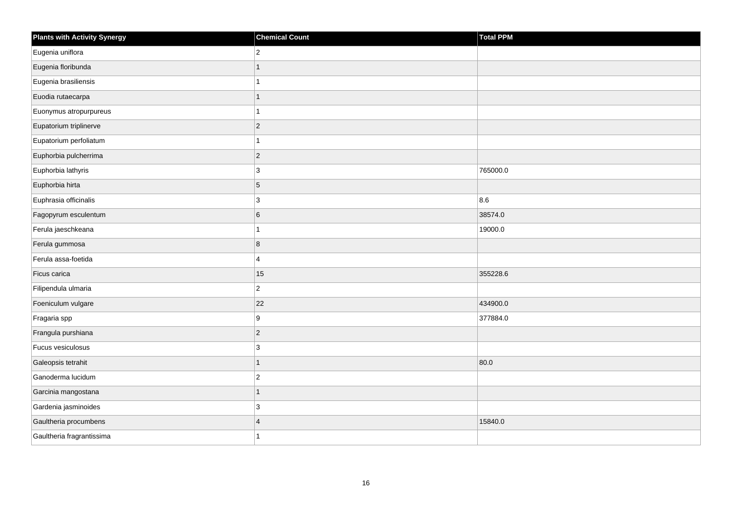| <b>Plants with Activity Synergy</b> | <b>Chemical Count</b> | <b>Total PPM</b> |
|-------------------------------------|-----------------------|------------------|
| Eugenia uniflora                    | $\overline{2}$        |                  |
| Eugenia floribunda                  |                       |                  |
| Eugenia brasiliensis                |                       |                  |
| Euodia rutaecarpa                   | 1                     |                  |
| Euonymus atropurpureus              |                       |                  |
| Eupatorium triplinerve              | $\overline{2}$        |                  |
| Eupatorium perfoliatum              | 1                     |                  |
| Euphorbia pulcherrima               | $\overline{2}$        |                  |
| Euphorbia lathyris                  | 3                     | 765000.0         |
| Euphorbia hirta                     | 5                     |                  |
| Euphrasia officinalis               | 3                     | 8.6              |
| Fagopyrum esculentum                | $6\phantom{a}$        | 38574.0          |
| Ferula jaeschkeana                  | 1                     | 19000.0          |
| Ferula gummosa                      | 8                     |                  |
| Ferula assa-foetida                 | 4                     |                  |
| Ficus carica                        | 15                    | 355228.6         |
| Filipendula ulmaria                 | $\overline{a}$        |                  |
| Foeniculum vulgare                  | 22                    | 434900.0         |
| Fragaria spp                        | 9                     | 377884.0         |
| Frangula purshiana                  | $\overline{2}$        |                  |
| Fucus vesiculosus                   | 3                     |                  |
| Galeopsis tetrahit                  | 1                     | 80.0             |
| Ganoderma lucidum                   | $\overline{2}$        |                  |
| Garcinia mangostana                 | 1                     |                  |
| Gardenia jasminoides                | 3                     |                  |
| Gaultheria procumbens               | $\overline{4}$        | 15840.0          |
| Gaultheria fragrantissima           |                       |                  |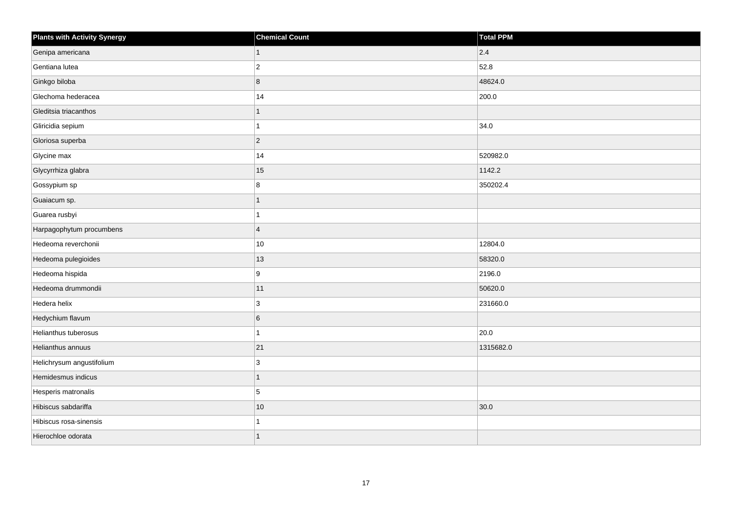| <b>Plants with Activity Synergy</b> | <b>Chemical Count</b> | <b>Total PPM</b> |
|-------------------------------------|-----------------------|------------------|
| Genipa americana                    | $\overline{1}$        | 2.4              |
| Gentiana lutea                      | $\overline{2}$        | 52.8             |
| Ginkgo biloba                       | 8                     | 48624.0          |
| Glechoma hederacea                  | 14                    | 200.0            |
| Gleditsia triacanthos               |                       |                  |
| Gliricidia sepium                   | 1                     | 34.0             |
| Gloriosa superba                    | $ 2\rangle$           |                  |
| Glycine max                         | 14                    | 520982.0         |
| Glycyrrhiza glabra                  | 15                    | 1142.2           |
| Gossypium sp                        | 8                     | 350202.4         |
| Guaiacum sp.                        | 1                     |                  |
| Guarea rusbyi                       |                       |                  |
| Harpagophytum procumbens            | $\vert 4 \vert$       |                  |
| Hedeoma reverchonii                 | 10                    | 12804.0          |
| Hedeoma pulegioides                 | 13                    | 58320.0          |
| Hedeoma hispida                     | 9                     | 2196.0           |
| Hedeoma drummondii                  | 11                    | 50620.0          |
| Hedera helix                        | $\mathbf{3}$          | 231660.0         |
| Hedychium flavum                    | $6\overline{6}$       |                  |
| Helianthus tuberosus                |                       | 20.0             |
| Helianthus annuus                   | 21                    | 1315682.0        |
| Helichrysum angustifolium           | $ 3\rangle$           |                  |
| Hemidesmus indicus                  | 1                     |                  |
| Hesperis matronalis                 | 5                     |                  |
| Hibiscus sabdariffa                 | 10                    | 30.0             |
| Hibiscus rosa-sinensis              |                       |                  |
| Hierochloe odorata                  |                       |                  |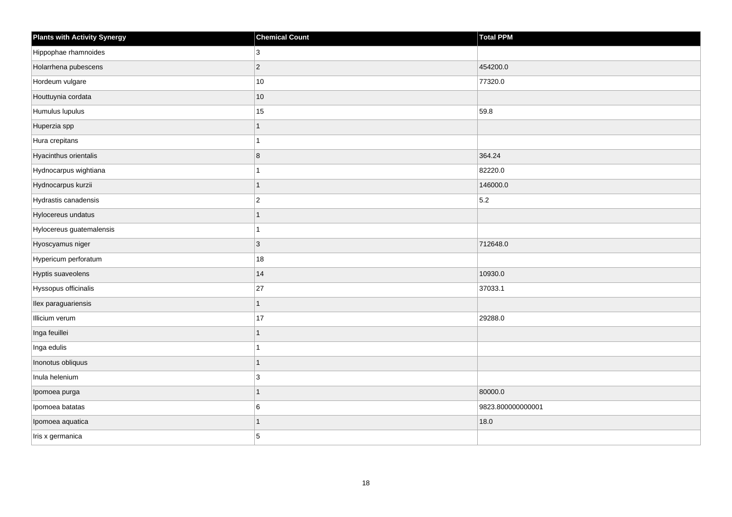| <b>Plants with Activity Synergy</b> | <b>Chemical Count</b> | <b>Total PPM</b>  |
|-------------------------------------|-----------------------|-------------------|
| Hippophae rhamnoides                | 3                     |                   |
| Holarrhena pubescens                | $\overline{2}$        | 454200.0          |
| Hordeum vulgare                     | $10\,$                | 77320.0           |
| Houttuynia cordata                  | $10$                  |                   |
| Humulus lupulus                     | 15                    | 59.8              |
| Huperzia spp                        | 1                     |                   |
| Hura crepitans                      |                       |                   |
| Hyacinthus orientalis               | 8                     | 364.24            |
| Hydnocarpus wightiana               |                       | 82220.0           |
| Hydnocarpus kurzii                  | 1                     | 146000.0          |
| Hydrastis canadensis                | $\overline{2}$        | 5.2               |
| Hylocereus undatus                  |                       |                   |
| Hylocereus guatemalensis            | 1                     |                   |
| Hyoscyamus niger                    | 3                     | 712648.0          |
| Hypericum perforatum                | 18                    |                   |
| Hyptis suaveolens                   | 14                    | 10930.0           |
| Hyssopus officinalis                | 27                    | 37033.1           |
| Ilex paraguariensis                 | 1                     |                   |
| Illicium verum                      | 17                    | 29288.0           |
| Inga feuillei                       | 1                     |                   |
| Inga edulis                         |                       |                   |
| Inonotus obliquus                   | 1                     |                   |
| Inula helenium                      | 3                     |                   |
| Ipomoea purga                       | 1                     | 80000.0           |
| Ipomoea batatas                     | 6                     | 9823.800000000001 |
| Ipomoea aquatica                    |                       | 18.0              |
| Iris x germanica                    | 5                     |                   |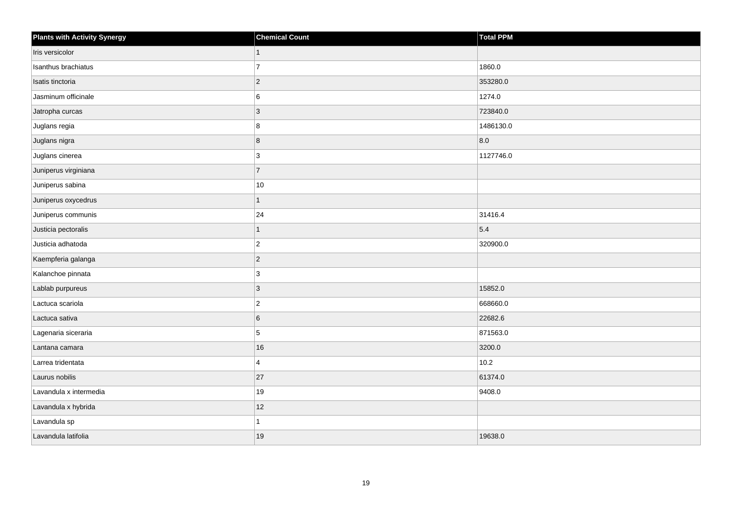| <b>Plants with Activity Synergy</b> | <b>Chemical Count</b> | Total PPM |
|-------------------------------------|-----------------------|-----------|
| Iris versicolor                     | 1                     |           |
| Isanthus brachiatus                 | $\overline{7}$        | 1860.0    |
| Isatis tinctoria                    | $ 2\rangle$           | 353280.0  |
| Jasminum officinale                 | 6                     | 1274.0    |
| Jatropha curcas                     | 3                     | 723840.0  |
| Juglans regia                       | 8                     | 1486130.0 |
| Juglans nigra                       | 8                     | 8.0       |
| Juglans cinerea                     | 3                     | 1127746.0 |
| Juniperus virginiana                | $\overline{7}$        |           |
| Juniperus sabina                    | 10                    |           |
| Juniperus oxycedrus                 |                       |           |
| Juniperus communis                  | 24                    | 31416.4   |
| Justicia pectoralis                 | $\mathbf{1}$          | 5.4       |
| Justicia adhatoda                   | $ 2\rangle$           | 320900.0  |
| Kaempferia galanga                  | $ 2\rangle$           |           |
| Kalanchoe pinnata                   | 3                     |           |
| Lablab purpureus                    | 3                     | 15852.0   |
| Lactuca scariola                    | $\vert$ 2             | 668660.0  |
| Lactuca sativa                      | 6                     | 22682.6   |
| Lagenaria siceraria                 | 5                     | 871563.0  |
| Lantana camara                      | 16                    | 3200.0    |
| Larrea tridentata                   | $\overline{4}$        | $10.2$    |
| Laurus nobilis                      | 27                    | 61374.0   |
| Lavandula x intermedia              | 19                    | 9408.0    |
| Lavandula x hybrida                 | 12                    |           |
| Lavandula sp                        |                       |           |
| Lavandula latifolia                 | 19                    | 19638.0   |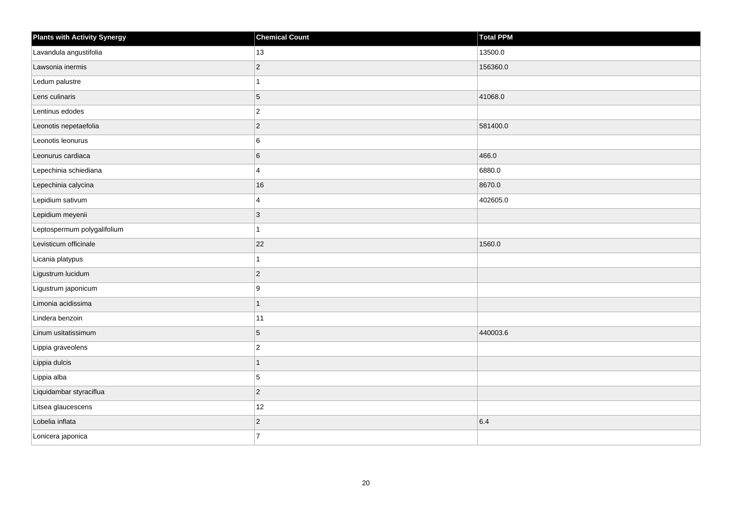| <b>Plants with Activity Synergy</b> | <b>Chemical Count</b> | <b>Total PPM</b> |
|-------------------------------------|-----------------------|------------------|
| Lavandula angustifolia              | 13                    | 13500.0          |
| Lawsonia inermis                    | $\overline{2}$        | 156360.0         |
| Ledum palustre                      |                       |                  |
| Lens culinaris                      | 5                     | 41068.0          |
| Lentinus edodes                     | $\overline{c}$        |                  |
| Leonotis nepetaefolia               | $\overline{c}$        | 581400.0         |
| Leonotis leonurus                   | 6                     |                  |
| Leonurus cardiaca                   | 6                     | 466.0            |
| Lepechinia schiediana               | 4                     | 6880.0           |
| Lepechinia calycina                 | 16                    | 8670.0           |
| Lepidium sativum                    | 4                     | 402605.0         |
| Lepidium meyenii                    | 3                     |                  |
| Leptospermum polygalifolium         | 1                     |                  |
| Levisticum officinale               | 22                    | 1560.0           |
| Licania platypus                    |                       |                  |
| Ligustrum lucidum                   | $\overline{2}$        |                  |
| Ligustrum japonicum                 | 9                     |                  |
| Limonia acidissima                  | 1                     |                  |
| Lindera benzoin                     | 11                    |                  |
| Linum usitatissimum                 | 5                     | 440003.6         |
| Lippia graveolens                   | $\overline{2}$        |                  |
| Lippia dulcis                       | 1                     |                  |
| Lippia alba                         | 5                     |                  |
| Liquidambar styraciflua             | $\overline{2}$        |                  |
| Litsea glaucescens                  | 12                    |                  |
| Lobelia inflata                     | $\overline{2}$        | 6.4              |
| Lonicera japonica                   | $\overline{7}$        |                  |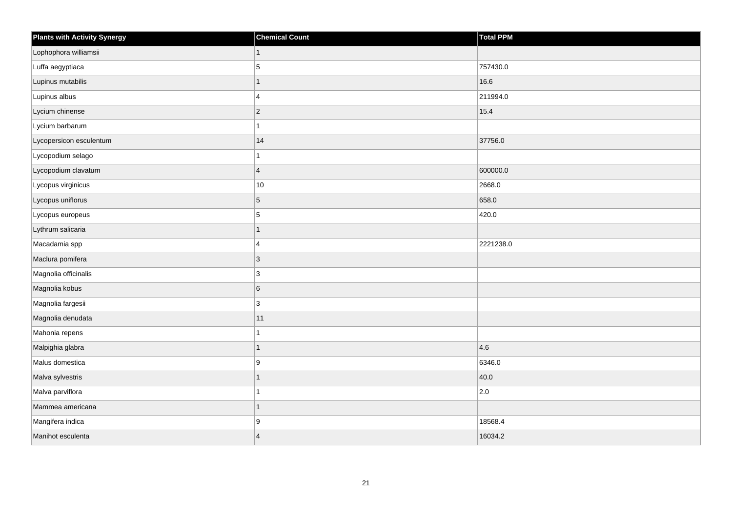| <b>Plants with Activity Synergy</b> | <b>Chemical Count</b>   | Total PPM |
|-------------------------------------|-------------------------|-----------|
| Lophophora williamsii               | $\mathbf{1}$            |           |
| Luffa aegyptiaca                    | 5                       | 757430.0  |
| Lupinus mutabilis                   | $\mathbf{1}$            | 16.6      |
| Lupinus albus                       | $\overline{4}$          | 211994.0  |
| Lycium chinense                     | $ 2\rangle$             | 15.4      |
| Lycium barbarum                     | $\mathbf{1}$            |           |
| Lycopersicon esculentum             | 14                      | 37756.0   |
| Lycopodium selago                   | 1                       |           |
| Lycopodium clavatum                 | $\overline{4}$          | 600000.0  |
| Lycopus virginicus                  | 10                      | 2668.0    |
| Lycopus uniflorus                   | $\sqrt{5}$              | 658.0     |
| Lycopus europeus                    | 5                       | 420.0     |
| Lythrum salicaria                   | 1                       |           |
| Macadamia spp                       | $\overline{4}$          | 2221238.0 |
| Maclura pomifera                    | $ 3\rangle$             |           |
| Magnolia officinalis                | 3                       |           |
| Magnolia kobus                      | $6\overline{6}$         |           |
| Magnolia fargesii                   | 3                       |           |
| Magnolia denudata                   | 11                      |           |
| Mahonia repens                      | 1                       |           |
| Malpighia glabra                    | $\mathbf{1}$            | 4.6       |
| Malus domestica                     | 9                       | 6346.0    |
| Malva sylvestris                    | 1                       | 40.0      |
| Malva parviflora                    | 1                       | 2.0       |
| Mammea americana                    | 1                       |           |
| Mangifera indica                    | 9                       | 18568.4   |
| Manihot esculenta                   | $\overline{\mathbf{4}}$ | 16034.2   |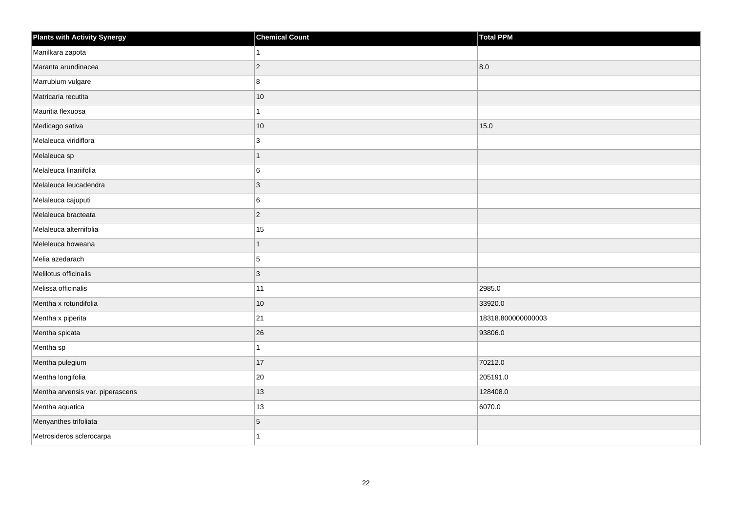| <b>Plants with Activity Synergy</b> | <b>Chemical Count</b> | Total PPM          |
|-------------------------------------|-----------------------|--------------------|
| Manilkara zapota                    |                       |                    |
| Maranta arundinacea                 | $\overline{2}$        | 8.0                |
| Marrubium vulgare                   | 8                     |                    |
| Matricaria recutita                 | $10$                  |                    |
| Mauritia flexuosa                   |                       |                    |
| Medicago sativa                     | 10                    | 15.0               |
| Melaleuca viridiflora               | 3                     |                    |
| Melaleuca sp                        | 1                     |                    |
| Melaleuca linariifolia              | 6                     |                    |
| Melaleuca leucadendra               | 3                     |                    |
| Melaleuca cajuputi                  | 6                     |                    |
| Melaleuca bracteata                 | $\overline{2}$        |                    |
| Melaleuca alternifolia              | 15                    |                    |
| Meleleuca howeana                   | 1                     |                    |
| Melia azedarach                     | 5                     |                    |
| Melilotus officinalis               | $\overline{3}$        |                    |
| Melissa officinalis                 | 11                    | 2985.0             |
| Mentha x rotundifolia               | $10$                  | 33920.0            |
| Mentha x piperita                   | 21                    | 18318.800000000003 |
| Mentha spicata                      | 26                    | 93806.0            |
| Mentha sp                           |                       |                    |
| Mentha pulegium                     | 17                    | 70212.0            |
| Mentha longifolia                   | 20                    | 205191.0           |
| Mentha arvensis var. piperascens    | 13                    | 128408.0           |
| Mentha aquatica                     | 13                    | 6070.0             |
| Menyanthes trifoliata               | 5                     |                    |
| Metrosideros sclerocarpa            |                       |                    |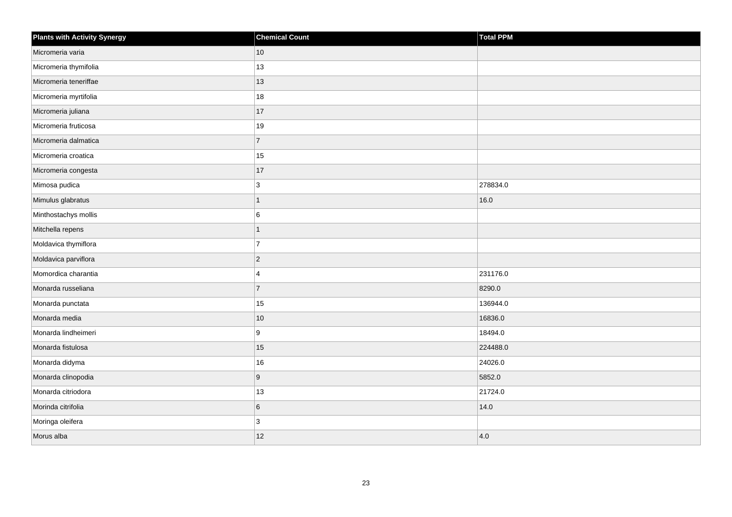| Plants with Activity Synergy | <b>Chemical Count</b> | <b>Total PPM</b> |
|------------------------------|-----------------------|------------------|
| Micromeria varia             | 10                    |                  |
| Micromeria thymifolia        | 13                    |                  |
| Micromeria teneriffae        | 13                    |                  |
| Micromeria myrtifolia        | 18                    |                  |
| Micromeria juliana           | 17                    |                  |
| Micromeria fruticosa         | 19                    |                  |
| Micromeria dalmatica         | $\overline{7}$        |                  |
| Micromeria croatica          | 15                    |                  |
| Micromeria congesta          | 17                    |                  |
| Mimosa pudica                | 3                     | 278834.0         |
| Mimulus glabratus            | $\mathbf{1}$          | 16.0             |
| Minthostachys mollis         | 6                     |                  |
| Mitchella repens             | $\mathbf{1}$          |                  |
| Moldavica thymiflora         | $\overline{7}$        |                  |
| Moldavica parviflora         | $\vert$ 2             |                  |
| Momordica charantia          | $\overline{4}$        | 231176.0         |
| Monarda russeliana           | $\overline{7}$        | 8290.0           |
| Monarda punctata             | 15                    | 136944.0         |
| Monarda media                | 10                    | 16836.0          |
| Monarda lindheimeri          | 9                     | 18494.0          |
| Monarda fistulosa            | 15                    | 224488.0         |
| Monarda didyma               | 16                    | 24026.0          |
| Monarda clinopodia           | $\boldsymbol{9}$      | 5852.0           |
| Monarda citriodora           | $ 13\rangle$          | 21724.0          |
| Morinda citrifolia           | $\,6$                 | 14.0             |
| Moringa oleifera             | 3                     |                  |
| Morus alba                   | 12                    | 4.0              |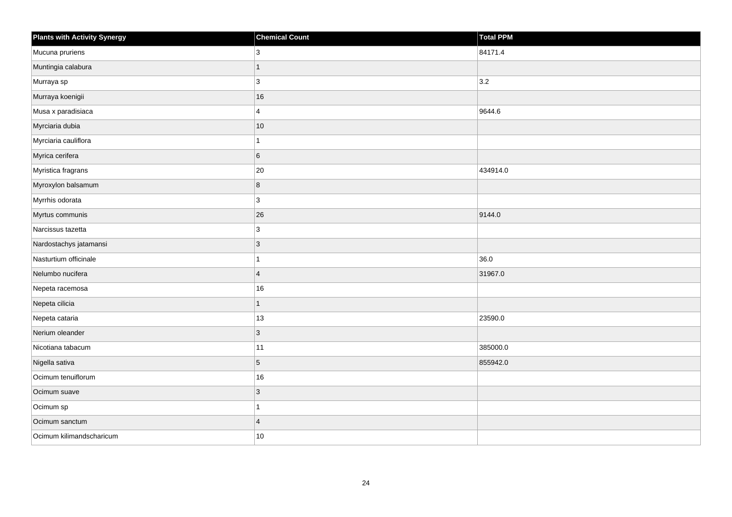| <b>Plants with Activity Synergy</b> | <b>Chemical Count</b>   | Total PPM |
|-------------------------------------|-------------------------|-----------|
| Mucuna pruriens                     | 3                       | 84171.4   |
| Muntingia calabura                  | 1                       |           |
| Murraya sp                          | 3                       | 3.2       |
| Murraya koenigii                    | 16                      |           |
| Musa x paradisiaca                  | $\overline{\mathbf{4}}$ | 9644.6    |
| Myrciaria dubia                     | $10$                    |           |
| Myrciaria cauliflora                |                         |           |
| Myrica cerifera                     | 6                       |           |
| Myristica fragrans                  | 20                      | 434914.0  |
| Myroxylon balsamum                  | 8                       |           |
| Myrrhis odorata                     | 3                       |           |
| Myrtus communis                     | 26                      | 9144.0    |
| Narcissus tazetta                   | 3                       |           |
| Nardostachys jatamansi              | 3                       |           |
| Nasturtium officinale               |                         | 36.0      |
| Nelumbo nucifera                    | $\overline{4}$          | 31967.0   |
| Nepeta racemosa                     | 16                      |           |
| Nepeta cilicia                      | 1                       |           |
| Nepeta cataria                      | 13                      | 23590.0   |
| Nerium oleander                     | 3                       |           |
| Nicotiana tabacum                   | $11$                    | 385000.0  |
| Nigella sativa                      | 5                       | 855942.0  |
| Ocimum tenuiflorum                  | 16                      |           |
| Ocimum suave                        | $\mathbf{3}$            |           |
| Ocimum sp                           |                         |           |
| Ocimum sanctum                      | $\overline{4}$          |           |
| Ocimum kilimandscharicum            | $10$                    |           |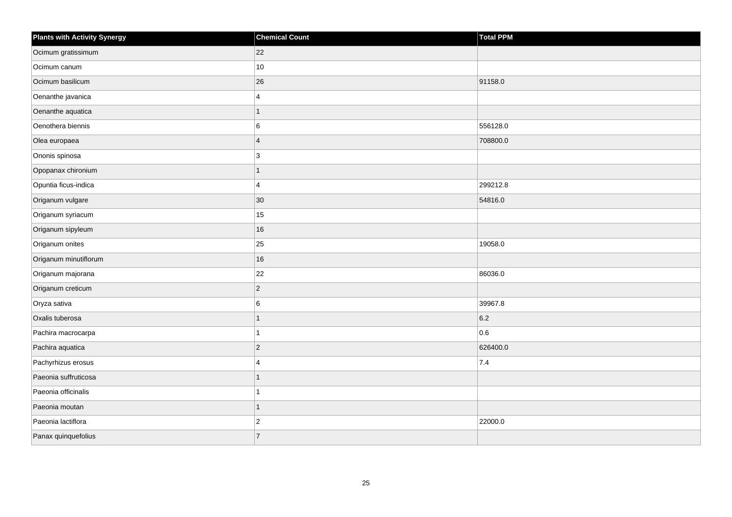| <b>Plants with Activity Synergy</b> | <b>Chemical Count</b> | <b>Total PPM</b> |
|-------------------------------------|-----------------------|------------------|
| Ocimum gratissimum                  | 22                    |                  |
| Ocimum canum                        | 10                    |                  |
| Ocimum basilicum                    | 26                    | 91158.0          |
| Oenanthe javanica                   | $\overline{4}$        |                  |
| Oenanthe aquatica                   | 1                     |                  |
| Oenothera biennis                   | 6                     | 556128.0         |
| Olea europaea                       | $\overline{4}$        | 708800.0         |
| Ononis spinosa                      | 3                     |                  |
| Opopanax chironium                  | $\overline{1}$        |                  |
| Opuntia ficus-indica                | $\overline{4}$        | 299212.8         |
| Origanum vulgare                    | 30                    | 54816.0          |
| Origanum syriacum                   | 15                    |                  |
| Origanum sipyleum                   | 16                    |                  |
| Origanum onites                     | 25                    | 19058.0          |
| Origanum minutiflorum               | 16                    |                  |
| Origanum majorana                   | 22                    | 86036.0          |
| Origanum creticum                   | $\overline{c}$        |                  |
| Oryza sativa                        | 6                     | 39967.8          |
| Oxalis tuberosa                     | $\overline{1}$        | 6.2              |
| Pachira macrocarpa                  | 1                     | 0.6              |
| Pachira aquatica                    | $\overline{c}$        | 626400.0         |
| Pachyrhizus erosus                  | 4                     | 7.4              |
| Paeonia suffruticosa                | 1                     |                  |
| Paeonia officinalis                 | 1                     |                  |
| Paeonia moutan                      | $\mathbf{1}$          |                  |
| Paeonia lactiflora                  | $\overline{c}$        | 22000.0          |
| Panax quinquefolius                 | $\overline{7}$        |                  |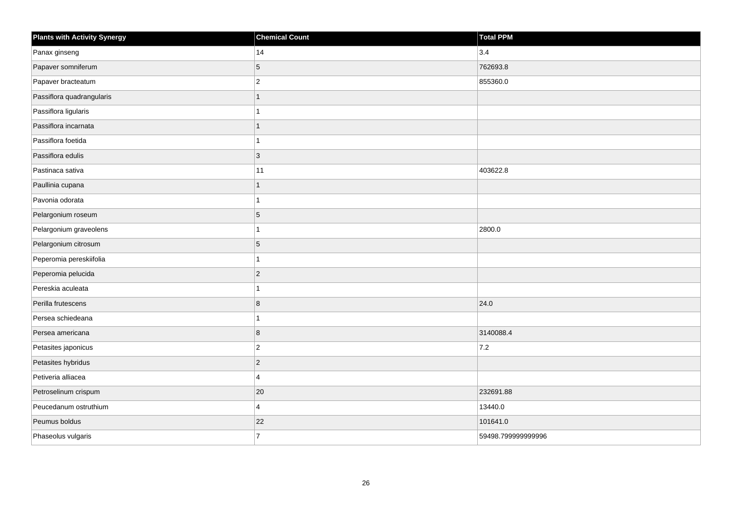| <b>Plants with Activity Synergy</b> | <b>Chemical Count</b> | <b>Total PPM</b>   |
|-------------------------------------|-----------------------|--------------------|
| Panax ginseng                       | 14                    | 3.4                |
| Papaver somniferum                  | 5                     | 762693.8           |
| Papaver bracteatum                  | $\overline{c}$        | 855360.0           |
| Passiflora quadrangularis           | $\overline{1}$        |                    |
| Passiflora ligularis                |                       |                    |
| Passiflora incarnata                | 1                     |                    |
| Passiflora foetida                  | 1                     |                    |
| Passiflora edulis                   | 3                     |                    |
| Pastinaca sativa                    | 11                    | 403622.8           |
| Paullinia cupana                    | $\mathbf{1}$          |                    |
| Pavonia odorata                     | 1                     |                    |
| Pelargonium roseum                  | 5                     |                    |
| Pelargonium graveolens              | 1                     | 2800.0             |
| Pelargonium citrosum                | 5                     |                    |
| Peperomia pereskiifolia             | 1                     |                    |
| Peperomia pelucida                  | $\overline{c}$        |                    |
| Pereskia aculeata                   |                       |                    |
| Perilla frutescens                  | 8                     | 24.0               |
| Persea schiedeana                   | 1                     |                    |
| Persea americana                    | 8                     | 3140088.4          |
| Petasites japonicus                 | $\boldsymbol{2}$      | 7.2                |
| Petasites hybridus                  | $\overline{c}$        |                    |
| Petiveria alliacea                  | 4                     |                    |
| Petroselinum crispum                | $20\,$                | 232691.88          |
| Peucedanum ostruthium               | 4                     | 13440.0            |
| Peumus boldus                       | 22                    | 101641.0           |
| Phaseolus vulgaris                  | $\overline{7}$        | 59498.799999999996 |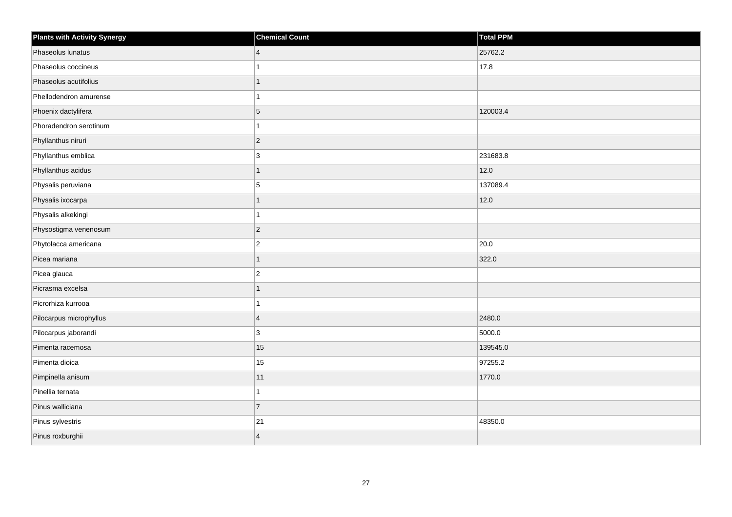| <b>Plants with Activity Synergy</b> | <b>Chemical Count</b> | Total PPM |
|-------------------------------------|-----------------------|-----------|
| Phaseolus lunatus                   | $\overline{4}$        | 25762.2   |
| Phaseolus coccineus                 |                       | 17.8      |
| Phaseolus acutifolius               |                       |           |
| Phellodendron amurense              |                       |           |
| Phoenix dactylifera                 | 5                     | 120003.4  |
| Phoradendron serotinum              |                       |           |
| Phyllanthus niruri                  | $\overline{2}$        |           |
| Phyllanthus emblica                 | 3                     | 231683.8  |
| Phyllanthus acidus                  | 1                     | 12.0      |
| Physalis peruviana                  | 5                     | 137089.4  |
| Physalis ixocarpa                   | 1                     | 12.0      |
| Physalis alkekingi                  |                       |           |
| Physostigma venenosum               | $\overline{2}$        |           |
| Phytolacca americana                | $\overline{2}$        | 20.0      |
| Picea mariana                       | 1                     | 322.0     |
| Picea glauca                        | $\overline{a}$        |           |
| Picrasma excelsa                    | 1                     |           |
| Picrorhiza kurrooa                  |                       |           |
| Pilocarpus microphyllus             | $\overline{4}$        | 2480.0    |
| Pilocarpus jaborandi                | 3                     | 5000.0    |
| Pimenta racemosa                    | 15                    | 139545.0  |
| Pimenta dioica                      | 15                    | 97255.2   |
| Pimpinella anisum                   | 11                    | 1770.0    |
| Pinellia ternata                    |                       |           |
| Pinus walliciana                    | $\overline{7}$        |           |
| Pinus sylvestris                    | 21                    | 48350.0   |
| Pinus roxburghii                    | $\overline{4}$        |           |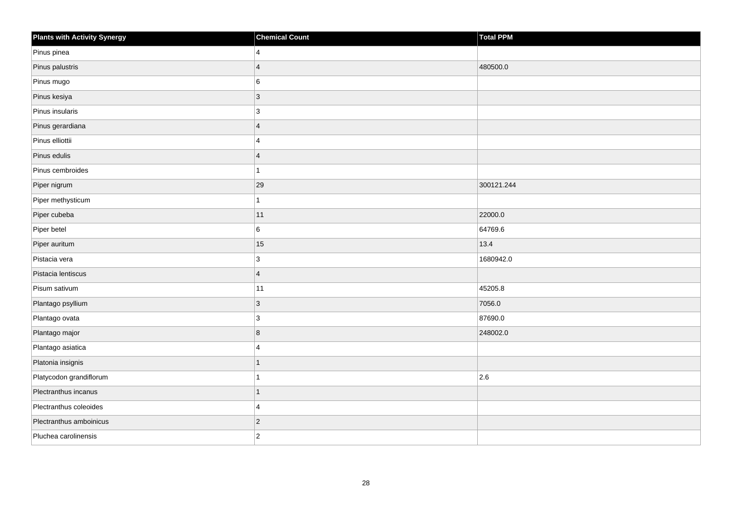| <b>Plants with Activity Synergy</b> | <b>Chemical Count</b> | Total PPM  |
|-------------------------------------|-----------------------|------------|
| Pinus pinea                         | $\overline{4}$        |            |
| Pinus palustris                     | $\overline{4}$        | 480500.0   |
| Pinus mugo                          | 6                     |            |
| Pinus kesiya                        | $ 3\rangle$           |            |
| Pinus insularis                     | 3                     |            |
| Pinus gerardiana                    | $\overline{4}$        |            |
| Pinus elliottii                     | $\overline{4}$        |            |
| Pinus edulis                        | $\overline{4}$        |            |
| Pinus cembroides                    | $\mathbf{1}$          |            |
| Piper nigrum                        | 29                    | 300121.244 |
| Piper methysticum                   | 1                     |            |
| Piper cubeba                        | 11                    | 22000.0    |
| Piper betel                         | $6\overline{6}$       | 64769.6    |
| Piper auritum                       | 15                    | 13.4       |
| Pistacia vera                       | 3                     | 1680942.0  |
| Pistacia lentiscus                  | $\overline{4}$        |            |
| Pisum sativum                       | 11                    | 45205.8    |
| Plantago psyllium                   | $ 3\rangle$           | 7056.0     |
| Plantago ovata                      | $ 3\rangle$           | 87690.0    |
| Plantago major                      | 8                     | 248002.0   |
| Plantago asiatica                   | $\overline{4}$        |            |
| Platonia insignis                   | $\mathbf{1}$          |            |
| Platycodon grandiflorum             | 1                     | 2.6        |
| Plectranthus incanus                | $\overline{1}$        |            |
| Plectranthus coleoides              | 4                     |            |
| Plectranthus amboinicus             | $ 2\rangle$           |            |
| Pluchea carolinensis                | $\vert$ 2             |            |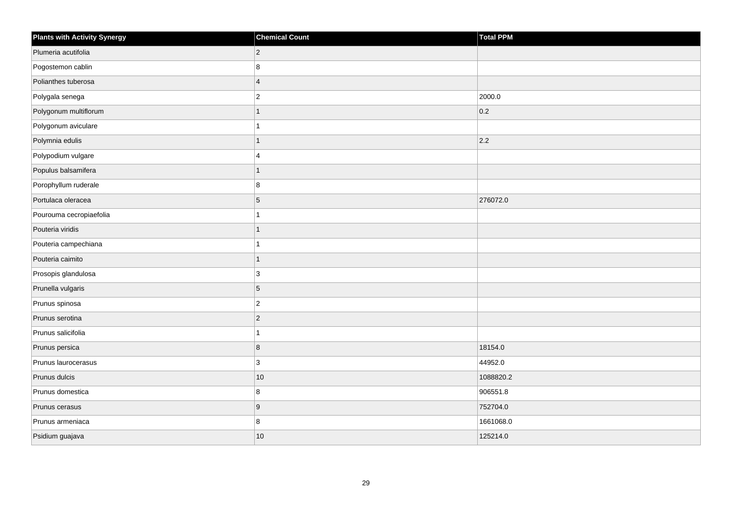| <b>Plants with Activity Synergy</b> | <b>Chemical Count</b> | <b>Total PPM</b> |
|-------------------------------------|-----------------------|------------------|
| Plumeria acutifolia                 | $\overline{2}$        |                  |
| Pogostemon cablin                   | 8                     |                  |
| Polianthes tuberosa                 | $\overline{4}$        |                  |
| Polygala senega                     | $\overline{c}$        | 2000.0           |
| Polygonum multiflorum               | 1                     | 0.2              |
| Polygonum aviculare                 | 1                     |                  |
| Polymnia edulis                     | $\mathbf{1}$          | 2.2              |
| Polypodium vulgare                  | 4                     |                  |
| Populus balsamifera                 | $\overline{1}$        |                  |
| Porophyllum ruderale                | 8                     |                  |
| Portulaca oleracea                  | 5                     | 276072.0         |
| Pourouma cecropiaefolia             | 1                     |                  |
| Pouteria viridis                    | $\mathbf{1}$          |                  |
| Pouteria campechiana                |                       |                  |
| Pouteria caimito                    | $\overline{1}$        |                  |
| Prosopis glandulosa                 | 3                     |                  |
| Prunella vulgaris                   | 5                     |                  |
| Prunus spinosa                      | $\overline{c}$        |                  |
| Prunus serotina                     | $\overline{c}$        |                  |
| Prunus salicifolia                  | 1                     |                  |
| Prunus persica                      | 8                     | 18154.0          |
| Prunus laurocerasus                 | 3                     | 44952.0          |
| Prunus dulcis                       | $10$                  | 1088820.2        |
| Prunus domestica                    | 8                     | 906551.8         |
| Prunus cerasus                      | $\boldsymbol{9}$      | 752704.0         |
| Prunus armeniaca                    | 8                     | 1661068.0        |
| Psidium guajava                     | 10                    | 125214.0         |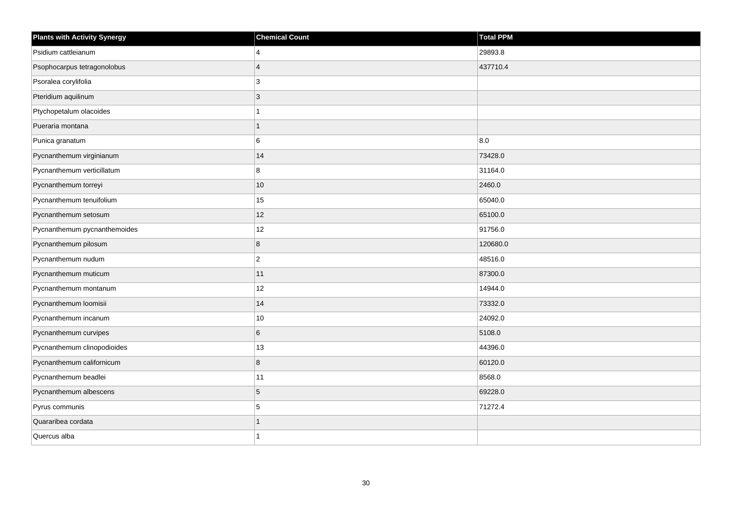| <b>Plants with Activity Synergy</b> | <b>Chemical Count</b> | <b>Total PPM</b> |
|-------------------------------------|-----------------------|------------------|
| Psidium cattleianum                 | 4                     | 29893.8          |
| Psophocarpus tetragonolobus         | $\overline{4}$        | 437710.4         |
| Psoralea corylifolia                | 3                     |                  |
| Pteridium aquilinum                 | 3                     |                  |
| Ptychopetalum olacoides             |                       |                  |
| Pueraria montana                    | 1                     |                  |
| Punica granatum                     | 6                     | 8.0              |
| Pycnanthemum virginianum            | 14                    | 73428.0          |
| Pycnanthemum verticillatum          | 8                     | 31164.0          |
| Pycnanthemum torreyi                | 10                    | 2460.0           |
| Pycnanthemum tenuifolium            | 15                    | 65040.0          |
| Pycnanthemum setosum                | 12                    | 65100.0          |
| Pycnanthemum pycnanthemoides        | 12                    | 91756.0          |
| Pycnanthemum pilosum                | 8                     | 120680.0         |
| Pycnanthemum nudum                  | $\overline{c}$        | 48516.0          |
| Pycnanthemum muticum                | 11                    | 87300.0          |
| Pycnanthemum montanum               | 12                    | 14944.0          |
| Pycnanthemum loomisii               | 14                    | 73332.0          |
| Pycnanthemum incanum                | $10$                  | 24092.0          |
| Pycnanthemum curvipes               | 6                     | 5108.0           |
| Pycnanthemum clinopodioides         | 13                    | 44396.0          |
| Pycnanthemum californicum           | 8                     | 60120.0          |
| Pycnanthemum beadlei                | 11                    | 8568.0           |
| Pycnanthemum albescens              | 5                     | 69228.0          |
| Pyrus communis                      | 5                     | 71272.4          |
| Quararibea cordata                  | 1                     |                  |
| Quercus alba                        |                       |                  |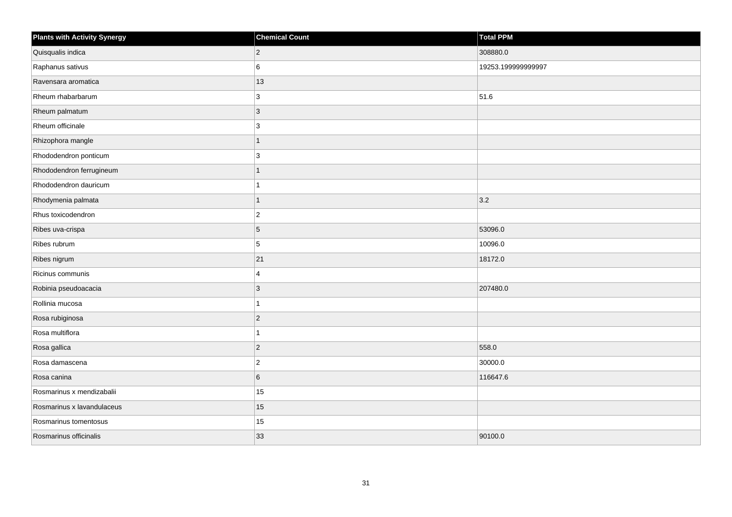| <b>Plants with Activity Synergy</b> | <b>Chemical Count</b> | <b>Total PPM</b>   |
|-------------------------------------|-----------------------|--------------------|
| Quisqualis indica                   | $\overline{2}$        | 308880.0           |
| Raphanus sativus                    | 6                     | 19253.199999999997 |
| Ravensara aromatica                 | 13                    |                    |
| Rheum rhabarbarum                   | 3                     | 51.6               |
| Rheum palmatum                      | 3                     |                    |
| Rheum officinale                    | 3                     |                    |
| Rhizophora mangle                   | $\overline{1}$        |                    |
| Rhododendron ponticum               | 3                     |                    |
| Rhododendron ferrugineum            |                       |                    |
| Rhododendron dauricum               |                       |                    |
| Rhodymenia palmata                  | 1                     | 3.2                |
| Rhus toxicodendron                  | $\overline{c}$        |                    |
| Ribes uva-crispa                    | 5                     | 53096.0            |
| Ribes rubrum                        | 5                     | 10096.0            |
| Ribes nigrum                        | 21                    | 18172.0            |
| Ricinus communis                    | 4                     |                    |
| Robinia pseudoacacia                | 3                     | 207480.0           |
| Rollinia mucosa                     |                       |                    |
| Rosa rubiginosa                     | $\overline{2}$        |                    |
| Rosa multiflora                     |                       |                    |
| Rosa gallica                        | $\overline{2}$        | 558.0              |
| Rosa damascena                      | $\overline{2}$        | 30000.0            |
| Rosa canina                         | 6                     | 116647.6           |
| Rosmarinus x mendizabalii           | 15                    |                    |
| Rosmarinus x lavandulaceus          | 15                    |                    |
| Rosmarinus tomentosus               | 15                    |                    |
| Rosmarinus officinalis              | 33                    | 90100.0            |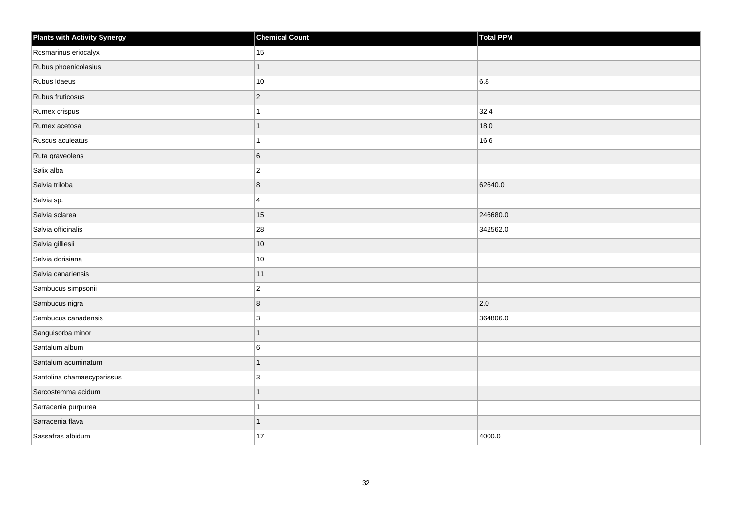| <b>Plants with Activity Synergy</b> | <b>Chemical Count</b> | Total PPM |
|-------------------------------------|-----------------------|-----------|
| Rosmarinus eriocalyx                | 15                    |           |
| Rubus phoenicolasius                | 1                     |           |
| Rubus idaeus                        | $10\,$                | 6.8       |
| Rubus fruticosus                    | $\overline{2}$        |           |
| Rumex crispus                       | 1                     | 32.4      |
| Rumex acetosa                       | 1                     | 18.0      |
| Ruscus aculeatus                    | 1                     | 16.6      |
| Ruta graveolens                     | 6                     |           |
| Salix alba                          | $\mathbf 2$           |           |
| Salvia triloba                      | 8                     | 62640.0   |
| Salvia sp.                          | 4                     |           |
| Salvia sclarea                      | 15                    | 246680.0  |
| Salvia officinalis                  | 28                    | 342562.0  |
| Salvia gilliesii                    | $10\,$                |           |
| Salvia dorisiana                    | $10\,$                |           |
| Salvia canariensis                  | 11                    |           |
| Sambucus simpsonii                  | $\overline{c}$        |           |
| Sambucus nigra                      | $\bf8$                | 2.0       |
| Sambucus canadensis                 | 3                     | 364806.0  |
| Sanguisorba minor                   | 1                     |           |
| Santalum album                      | 6                     |           |
| Santalum acuminatum                 | $\mathbf{1}$          |           |
| Santolina chamaecyparissus          | 3                     |           |
| Sarcostemma acidum                  | 1                     |           |
| Sarracenia purpurea                 | 1                     |           |
| Sarracenia flava                    | 1                     |           |
| Sassafras albidum                   | 17                    | 4000.0    |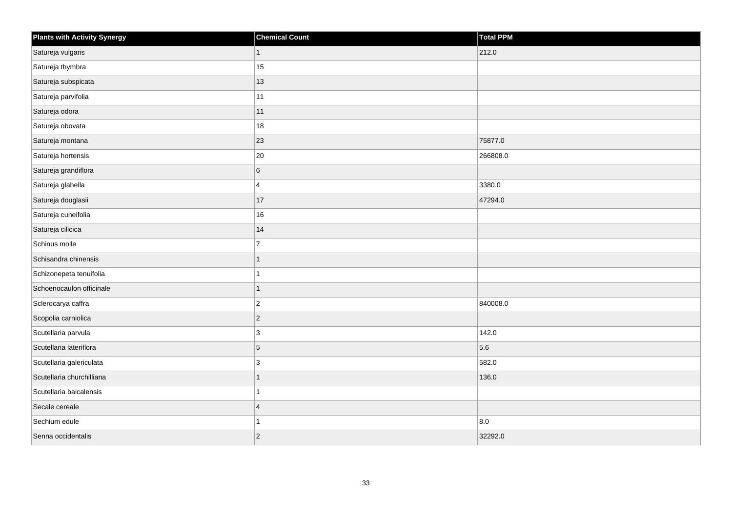| <b>Plants with Activity Synergy</b> | <b>Chemical Count</b> | Total PPM |
|-------------------------------------|-----------------------|-----------|
| Satureja vulgaris                   | $\mathbf{1}$          | 212.0     |
| Satureja thymbra                    | 15                    |           |
| Satureja subspicata                 | 13                    |           |
| Satureja parvifolia                 | 11                    |           |
| Satureja odora                      | 11                    |           |
| Satureja obovata                    | 18                    |           |
| Satureja montana                    | 23                    | 75877.0   |
| Satureja hortensis                  | 20                    | 266808.0  |
| Satureja grandiflora                | 6                     |           |
| Satureja glabella                   | 4                     | 3380.0    |
| Satureja douglasii                  | 17                    | 47294.0   |
| Satureja cuneifolia                 | $16\,$                |           |
| Satureja cilicica                   | 14                    |           |
| Schinus molle                       | $\overline{7}$        |           |
| Schisandra chinensis                | 1                     |           |
| Schizonepeta tenuifolia             |                       |           |
| Schoenocaulon officinale            | 1                     |           |
| Sclerocarya caffra                  | $\overline{c}$        | 840008.0  |
| Scopolia carniolica                 | $\overline{2}$        |           |
| Scutellaria parvula                 | 3                     | 142.0     |
| Scutellaria lateriflora             | 5                     | 5.6       |
| Scutellaria galericulata            | 3                     | 582.0     |
| Scutellaria churchilliana           |                       | 136.0     |
| Scutellaria baicalensis             |                       |           |
| Secale cereale                      | $\overline{4}$        |           |
| Sechium edule                       |                       | 8.0       |
| Senna occidentalis                  | $\overline{2}$        | 32292.0   |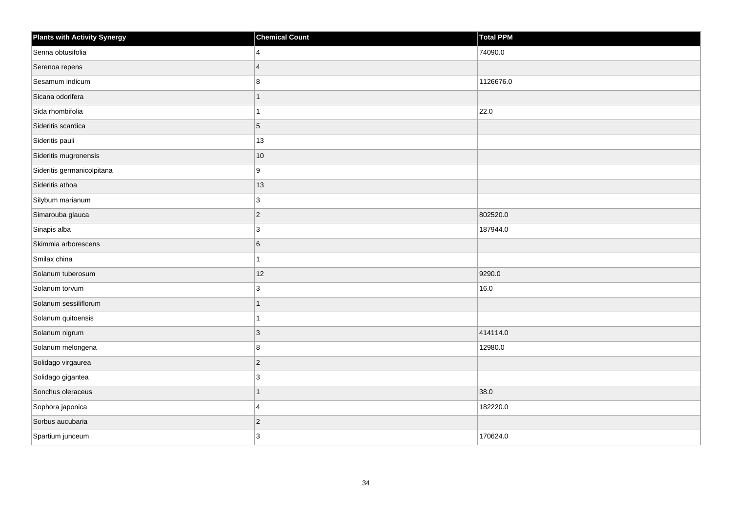| <b>Plants with Activity Synergy</b> | <b>Chemical Count</b> | <b>Total PPM</b> |
|-------------------------------------|-----------------------|------------------|
| Senna obtusifolia                   | 4                     | 74090.0          |
| Serenoa repens                      | $\boldsymbol{\Delta}$ |                  |
| Sesamum indicum                     | 8                     | 1126676.0        |
| Sicana odorifera                    | 1                     |                  |
| Sida rhombifolia                    |                       | 22.0             |
| Sideritis scardica                  | 5                     |                  |
| Sideritis pauli                     | 13                    |                  |
| Sideritis mugronensis               | $10$                  |                  |
| Sideritis germanicolpitana          | 9                     |                  |
| Sideritis athoa                     | 13                    |                  |
| Silybum marianum                    | 3                     |                  |
| Simarouba glauca                    | $\overline{c}$        | 802520.0         |
| Sinapis alba                        | 3                     | 187944.0         |
| Skimmia arborescens                 | 6                     |                  |
| Smilax china                        |                       |                  |
| Solanum tuberosum                   | 12                    | 9290.0           |
| Solanum torvum                      | 3                     | 16.0             |
| Solanum sessiliflorum               |                       |                  |
| Solanum quitoensis                  | 1                     |                  |
| Solanum nigrum                      | 3                     | 414114.0         |
| Solanum melongena                   | 8                     | 12980.0          |
| Solidago virgaurea                  | $\overline{c}$        |                  |
| Solidago gigantea                   | 3                     |                  |
| Sonchus oleraceus                   | 1                     | 38.0             |
| Sophora japonica                    | 4                     | 182220.0         |
| Sorbus aucubaria                    | $\overline{c}$        |                  |
| Spartium junceum                    | 3                     | 170624.0         |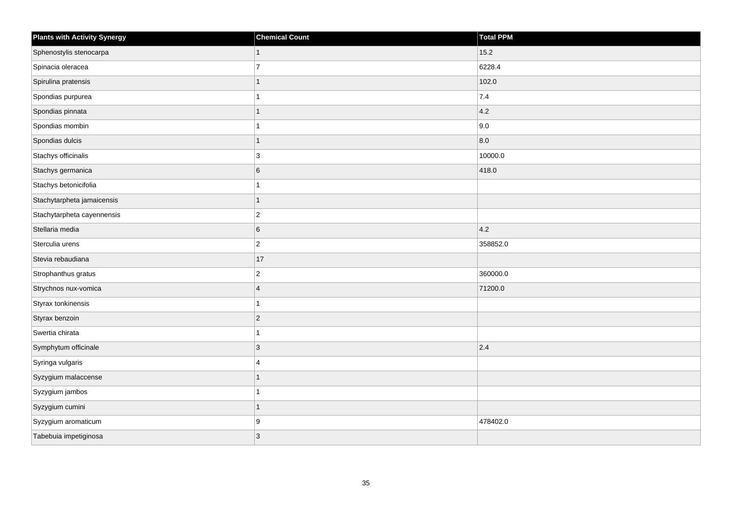| <b>Plants with Activity Synergy</b> | <b>Chemical Count</b> | <b>Total PPM</b> |
|-------------------------------------|-----------------------|------------------|
| Sphenostylis stenocarpa             | 1                     | 15.2             |
| Spinacia oleracea                   | $\overline{7}$        | 6228.4           |
| Spirulina pratensis                 | 1                     | 102.0            |
| Spondias purpurea                   | $\mathbf{1}$          | 7.4              |
| Spondias pinnata                    | 1                     | 4.2              |
| Spondias mombin                     | 1                     | 9.0              |
| Spondias dulcis                     | $\overline{1}$        | 8.0              |
| Stachys officinalis                 | 3                     | 10000.0          |
| Stachys germanica                   | $\,6$                 | 418.0            |
| Stachys betonicifolia               | 1                     |                  |
| Stachytarpheta jamaicensis          | 1                     |                  |
| Stachytarpheta cayennensis          | $ 2\rangle$           |                  |
| Stellaria media                     | 6                     | 4.2              |
| Sterculia urens                     | $ 2\rangle$           | 358852.0         |
| Stevia rebaudiana                   | 17                    |                  |
| Strophanthus gratus                 | $\vert$ 2             | 360000.0         |
| Strychnos nux-vomica                | $\overline{4}$        | 71200.0          |
| Styrax tonkinensis                  | $\mathbf{1}$          |                  |
| Styrax benzoin                      | $ 2\rangle$           |                  |
| Swertia chirata                     | 1                     |                  |
| Symphytum officinale                | 3                     | 2.4              |
| Syringa vulgaris                    | $\overline{4}$        |                  |
| Syzygium malaccense                 | 1                     |                  |
| Syzygium jambos                     | 1                     |                  |
| Syzygium cumini                     | $\overline{1}$        |                  |
| Syzygium aromaticum                 | 9                     | 478402.0         |
| Tabebuia impetiginosa               | 3                     |                  |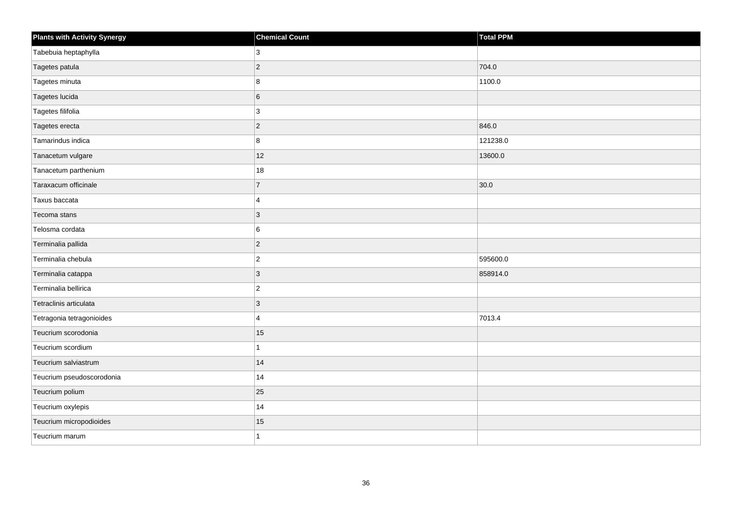| <b>Plants with Activity Synergy</b> | <b>Chemical Count</b> | Total PPM |
|-------------------------------------|-----------------------|-----------|
| Tabebuia heptaphylla                | 3                     |           |
| Tagetes patula                      | $\overline{2}$        | 704.0     |
| Tagetes minuta                      | 8                     | 1100.0    |
| Tagetes lucida                      | 6                     |           |
| Tagetes filifolia                   | 3                     |           |
| Tagetes erecta                      | $\overline{2}$        | 846.0     |
| Tamarindus indica                   | 8                     | 121238.0  |
| Tanacetum vulgare                   | 12                    | 13600.0   |
| Tanacetum parthenium                | 18                    |           |
| Taraxacum officinale                | $\overline{7}$        | 30.0      |
| Taxus baccata                       | 4                     |           |
| Tecoma stans                        | 3                     |           |
| Telosma cordata                     | 6                     |           |
| Terminalia pallida                  | $\overline{2}$        |           |
| Terminalia chebula                  | $\overline{c}$        | 595600.0  |
| Terminalia catappa                  | $\overline{3}$        | 858914.0  |
| Terminalia bellirica                | $\overline{c}$        |           |
| Tetraclinis articulata              | 3                     |           |
| Tetragonia tetragonioides           | 4                     | 7013.4    |
| Teucrium scorodonia                 | 15                    |           |
| Teucrium scordium                   |                       |           |
| Teucrium salviastrum                | 14                    |           |
| Teucrium pseudoscorodonia           | 14                    |           |
| Teucrium polium                     | 25                    |           |
| Teucrium oxylepis                   | 14                    |           |
| Teucrium micropodioides             | 15                    |           |
| Teucrium marum                      |                       |           |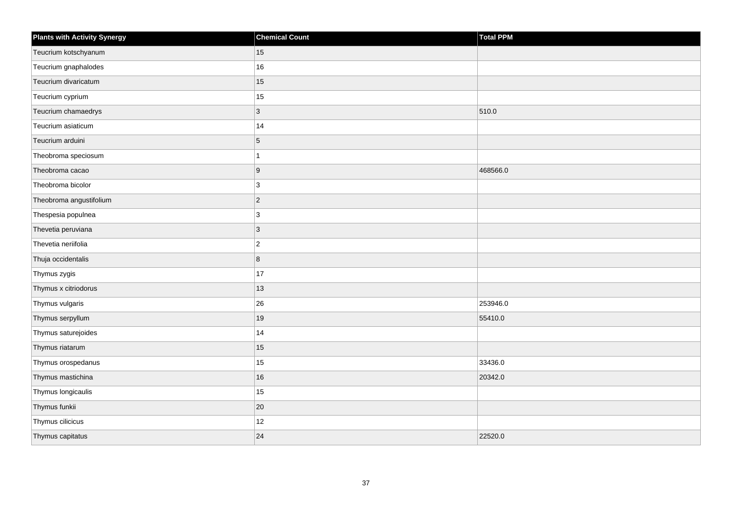| <b>Plants with Activity Synergy</b> | <b>Chemical Count</b> | <b>Total PPM</b> |
|-------------------------------------|-----------------------|------------------|
| Teucrium kotschyanum                | 15                    |                  |
| Teucrium gnaphalodes                | 16                    |                  |
| Teucrium divaricatum                | 15                    |                  |
| Teucrium cyprium                    | 15                    |                  |
| Teucrium chamaedrys                 | 3                     | 510.0            |
| Teucrium asiaticum                  | 14                    |                  |
| Teucrium arduini                    | 5                     |                  |
| Theobroma speciosum                 | 1                     |                  |
| Theobroma cacao                     | $\boldsymbol{9}$      | 468566.0         |
| Theobroma bicolor                   | 3                     |                  |
| Theobroma angustifolium             | $\overline{c}$        |                  |
| Thespesia populnea                  | 3                     |                  |
| Thevetia peruviana                  | $\mathbf{3}$          |                  |
| Thevetia neriifolia                 | $\overline{2}$        |                  |
| Thuja occidentalis                  | 8                     |                  |
| Thymus zygis                        | 17                    |                  |
| Thymus x citriodorus                | 13                    |                  |
| Thymus vulgaris                     | 26                    | 253946.0         |
| Thymus serpyllum                    | 19                    | 55410.0          |
| Thymus saturejoides                 | 14                    |                  |
| Thymus riatarum                     | 15                    |                  |
| Thymus orospedanus                  | 15                    | 33436.0          |
| Thymus mastichina                   | 16                    | 20342.0          |
| Thymus longicaulis                  | 15                    |                  |
| Thymus funkii                       | $20\,$                |                  |
| Thymus cilicicus                    | 12                    |                  |
| Thymus capitatus                    | 24                    | 22520.0          |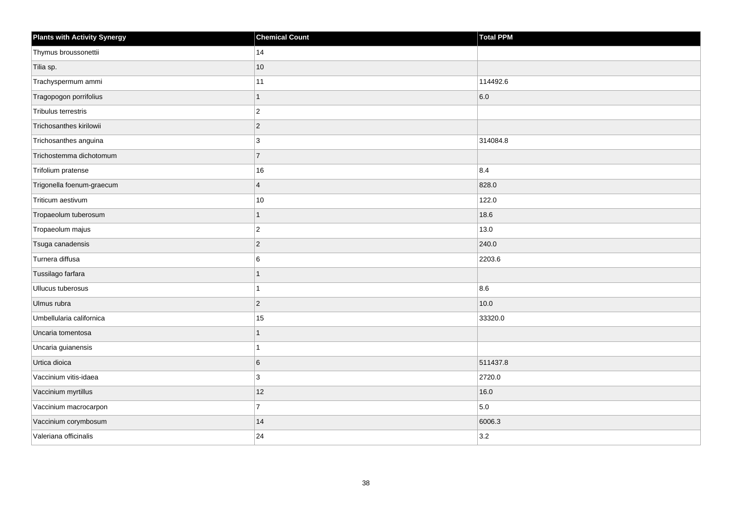| <b>Plants with Activity Synergy</b> | <b>Chemical Count</b> | <b>Total PPM</b> |
|-------------------------------------|-----------------------|------------------|
| Thymus broussonettii                | 14                    |                  |
| Tilia sp.                           | 10                    |                  |
| Trachyspermum ammi                  | 11                    | 114492.6         |
| Tragopogon porrifolius              | $\overline{1}$        | 6.0              |
| Tribulus terrestris                 | $\overline{2}$        |                  |
| Trichosanthes kirilowii             | $\overline{2}$        |                  |
| Trichosanthes anguina               | 3                     | 314084.8         |
| Trichostemma dichotomum             | $\overline{7}$        |                  |
| Trifolium pratense                  | 16                    | 8.4              |
| Trigonella foenum-graecum           | $\overline{4}$        | 828.0            |
| Triticum aestivum                   | $10\,$                | 122.0            |
| Tropaeolum tuberosum                | 1                     | 18.6             |
| Tropaeolum majus                    | $\overline{2}$        | 13.0             |
| Tsuga canadensis                    | $\overline{2}$        | 240.0            |
| Turnera diffusa                     | 6                     | 2203.6           |
| Tussilago farfara                   | 1                     |                  |
| Ullucus tuberosus                   |                       | 8.6              |
| Ulmus rubra                         | $\overline{2}$        | 10.0             |
| Umbellularia californica            | 15                    | 33320.0          |
| Uncaria tomentosa                   |                       |                  |
| Uncaria guianensis                  |                       |                  |
| Urtica dioica                       | $6\phantom{a}$        | 511437.8         |
| Vaccinium vitis-idaea               | 3                     | 2720.0           |
| Vaccinium myrtillus                 | 12                    | 16.0             |
| Vaccinium macrocarpon               | $\overline{7}$        | 5.0              |
| Vaccinium corymbosum                | 14                    | 6006.3           |
| Valeriana officinalis               | 24                    | 3.2              |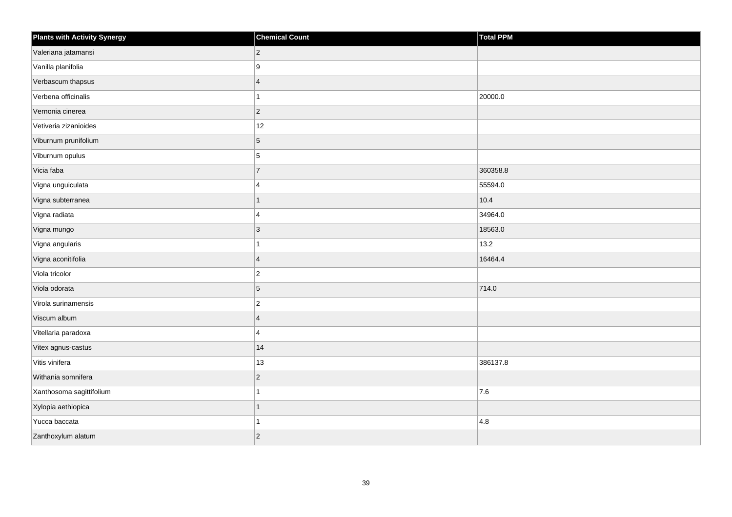| <b>Plants with Activity Synergy</b> | <b>Chemical Count</b> | <b>Total PPM</b> |
|-------------------------------------|-----------------------|------------------|
| Valeriana jatamansi                 | $\overline{2}$        |                  |
| Vanilla planifolia                  | 9                     |                  |
| Verbascum thapsus                   | $\overline{4}$        |                  |
| Verbena officinalis                 |                       | 20000.0          |
| Vernonia cinerea                    | $\overline{2}$        |                  |
| Vetiveria zizanioides               | 12                    |                  |
| Viburnum prunifolium                | 5                     |                  |
| Viburnum opulus                     | 5                     |                  |
| Vicia faba                          | $\overline{7}$        | 360358.8         |
| Vigna unguiculata                   | 4                     | 55594.0          |
| Vigna subterranea                   |                       | 10.4             |
| Vigna radiata                       | 4                     | 34964.0          |
| Vigna mungo                         | 3                     | 18563.0          |
| Vigna angularis                     |                       | 13.2             |
| Vigna aconitifolia                  | $\overline{4}$        | 16464.4          |
| Viola tricolor                      | $\overline{2}$        |                  |
| Viola odorata                       | 5                     | 714.0            |
| Virola surinamensis                 | $\overline{c}$        |                  |
| Viscum album                        | $\overline{4}$        |                  |
| Vitellaria paradoxa                 | 4                     |                  |
| Vitex agnus-castus                  | 14                    |                  |
| Vitis vinifera                      | 13                    | 386137.8         |
| Withania somnifera                  | $\overline{c}$        |                  |
| Xanthosoma sagittifolium            |                       | 7.6              |
| Xylopia aethiopica                  | 1                     |                  |
| Yucca baccata                       |                       | 4.8              |
| Zanthoxylum alatum                  | $\overline{2}$        |                  |